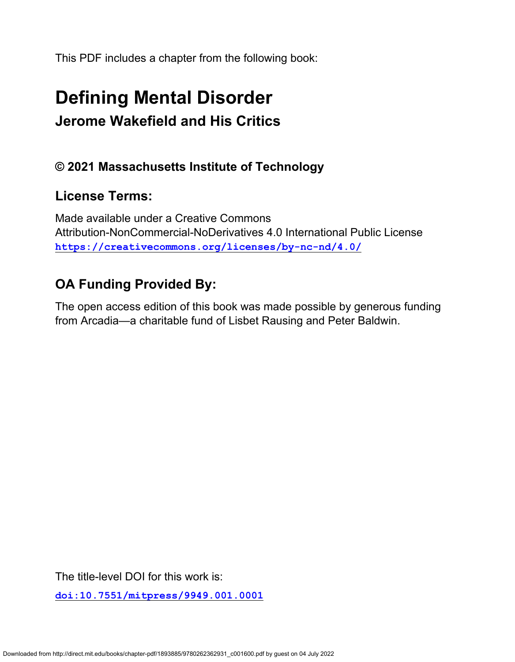This PDF includes a chapter from the following book:

# **Defining Mental Disorder Jerome Wakefield and His Critics**

## **© 2021 Massachusetts Institute of Technology**

## **License Terms:**

Made available under a Creative Commons Attribution-NonCommercial-NoDerivatives 4.0 International Public License **<https://creativecommons.org/licenses/by-nc-nd/4.0/>**

## **OA Funding Provided By:**

The open access edition of this book was made possible by generous funding from Arcadia—a charitable fund of Lisbet Rausing and Peter Baldwin.

The title-level DOI for this work is:

**[doi:10.7551/mitpress/9949.001.0001](https://doi.org/10.7551/mitpress/9949.001.0001)**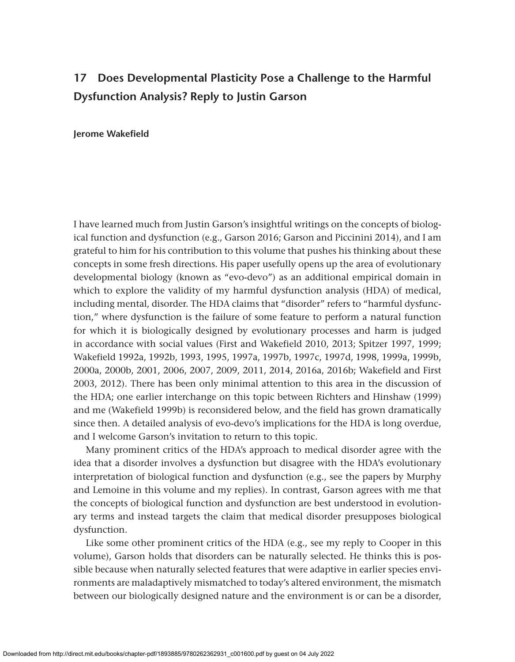## **17 Does Developmental Plasticity Pose a Challenge to the Harmful Dysfunction Analysis? Reply to Justin Garson**

**Jerome Wakefield**

I have learned much from Justin Garson's insightful writings on the concepts of biological function and dysfunction (e.g., Garson 2016; Garson and Piccinini 2014), and I am grateful to him for his contribution to this volume that pushes his thinking about these concepts in some fresh directions. His paper usefully opens up the area of evolutionary developmental biology (known as "evo-devo") as an additional empirical domain in which to explore the validity of my harmful dysfunction analysis (HDA) of medical, including mental, disorder. The HDA claims that "disorder" refers to "harmful dysfunction," where dysfunction is the failure of some feature to perform a natural function for which it is biologically designed by evolutionary processes and harm is judged in accordance with social values (First and Wakefield 2010, 2013; Spitzer 1997, 1999; Wakefield 1992a, 1992b, 1993, 1995, 1997a, 1997b, 1997c, 1997d, 1998, 1999a, 1999b, 2000a, 2000b, 2001, 2006, 2007, 2009, 2011, 2014, 2016a, 2016b; Wakefield and First 2003, 2012). There has been only minimal attention to this area in the discussion of the HDA; one earlier interchange on this topic between Richters and Hinshaw (1999) and me (Wakefield 1999b) is reconsidered below, and the field has grown dramatically since then. A detailed analysis of evo-devo's implications for the HDA is long overdue, and I welcome Garson's invitation to return to this topic.

Many prominent critics of the HDA's approach to medical disorder agree with the idea that a disorder involves a dysfunction but disagree with the HDA's evolutionary interpretation of biological function and dysfunction (e.g., see the papers by Murphy and Lemoine in this volume and my replies). In contrast, Garson agrees with me that the concepts of biological function and dysfunction are best understood in evolutionary terms and instead targets the claim that medical disorder presupposes biological dysfunction.

Like some other prominent critics of the HDA (e.g., see my reply to Cooper in this volume), Garson holds that disorders can be naturally selected. He thinks this is possible because when naturally selected features that were adaptive in earlier species environments are maladaptively mismatched to today's altered environment, the mismatch between our biologically designed nature and the environment is or can be a disorder,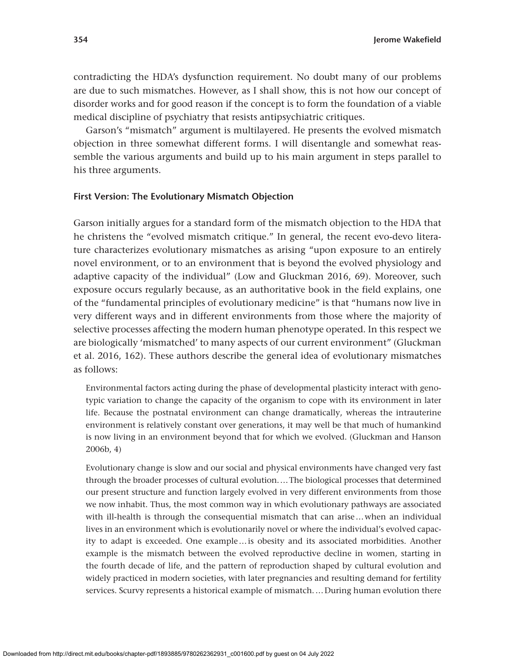contradicting the HDA's dysfunction requirement. No doubt many of our problems are due to such mismatches. However, as I shall show, this is not how our concept of disorder works and for good reason if the concept is to form the foundation of a viable medical discipline of psychiatry that resists antipsychiatric critiques.

Garson's "mismatch" argument is multilayered. He presents the evolved mismatch objection in three somewhat different forms. I will disentangle and somewhat reassemble the various arguments and build up to his main argument in steps parallel to his three arguments.

### **First Version: The Evolutionary Mismatch Objection**

Garson initially argues for a standard form of the mismatch objection to the HDA that he christens the "evolved mismatch critique." In general, the recent evo-devo literature characterizes evolutionary mismatches as arising "upon exposure to an entirely novel environment, or to an environment that is beyond the evolved physiology and adaptive capacity of the individual" (Low and Gluckman 2016, 69). Moreover, such exposure occurs regularly because, as an authoritative book in the field explains, one of the "fundamental principles of evolutionary medicine" is that "humans now live in very different ways and in different environments from those where the majority of selective processes affecting the modern human phenotype operated. In this respect we are biologically 'mismatched' to many aspects of our current environment" (Gluckman et al. 2016, 162). These authors describe the general idea of evolutionary mismatches as follows:

Environmental factors acting during the phase of developmental plasticity interact with genotypic variation to change the capacity of the organism to cope with its environment in later life. Because the postnatal environment can change dramatically, whereas the intrauterine environment is relatively constant over generations, it may well be that much of humankind is now living in an environment beyond that for which we evolved. (Gluckman and Hanson 2006b, 4)

Evolutionary change is slow and our social and physical environments have changed very fast through the broader processes of cultural evolution.…The biological processes that determined our present structure and function largely evolved in very different environments from those we now inhabit. Thus, the most common way in which evolutionary pathways are associated with ill-health is through the consequential mismatch that can arise…when an individual lives in an environment which is evolutionarily novel or where the individual's evolved capacity to adapt is exceeded. One example…is obesity and its associated morbidities. Another example is the mismatch between the evolved reproductive decline in women, starting in the fourth decade of life, and the pattern of reproduction shaped by cultural evolution and widely practiced in modern societies, with later pregnancies and resulting demand for fertility services. Scurvy represents a historical example of mismatch.... During human evolution there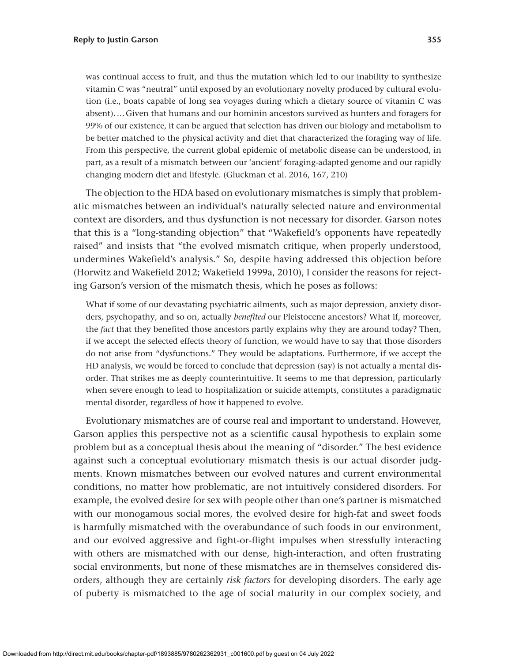was continual access to fruit, and thus the mutation which led to our inability to synthesize vitamin C was "neutral" until exposed by an evolutionary novelty produced by cultural evolution (i.e., boats capable of long sea voyages during which a dietary source of vitamin C was absent).…Given that humans and our hominin ancestors survived as hunters and foragers for 99% of our existence, it can be argued that selection has driven our biology and metabolism to be better matched to the physical activity and diet that characterized the foraging way of life. From this perspective, the current global epidemic of metabolic disease can be understood, in part, as a result of a mismatch between our 'ancient' foraging-adapted genome and our rapidly changing modern diet and lifestyle. (Gluckman et al. 2016, 167, 210)

The objection to the HDA based on evolutionary mismatches is simply that problematic mismatches between an individual's naturally selected nature and environmental context are disorders, and thus dysfunction is not necessary for disorder. Garson notes that this is a "long-standing objection" that "Wakefield's opponents have repeatedly raised" and insists that "the evolved mismatch critique, when properly understood, undermines Wakefield's analysis." So, despite having addressed this objection before (Horwitz and Wakefield 2012; Wakefield 1999a, 2010), I consider the reasons for rejecting Garson's version of the mismatch thesis, which he poses as follows:

What if some of our devastating psychiatric ailments, such as major depression, anxiety disorders, psychopathy, and so on, actually *benefited* our Pleistocene ancestors? What if, moreover, the *fact* that they benefited those ancestors partly explains why they are around today? Then, if we accept the selected effects theory of function, we would have to say that those disorders do not arise from "dysfunctions." They would be adaptations. Furthermore, if we accept the HD analysis, we would be forced to conclude that depression (say) is not actually a mental disorder. That strikes me as deeply counterintuitive. It seems to me that depression, particularly when severe enough to lead to hospitalization or suicide attempts, constitutes a paradigmatic mental disorder, regardless of how it happened to evolve.

Evolutionary mismatches are of course real and important to understand. However, Garson applies this perspective not as a scientific causal hypothesis to explain some problem but as a conceptual thesis about the meaning of "disorder." The best evidence against such a conceptual evolutionary mismatch thesis is our actual disorder judgments. Known mismatches between our evolved natures and current environmental conditions, no matter how problematic, are not intuitively considered disorders. For example, the evolved desire for sex with people other than one's partner is mismatched with our monogamous social mores, the evolved desire for high-fat and sweet foods is harmfully mismatched with the overabundance of such foods in our environment, and our evolved aggressive and fight-or-flight impulses when stressfully interacting with others are mismatched with our dense, high-interaction, and often frustrating social environments, but none of these mismatches are in themselves considered disorders, although they are certainly *risk factors* for developing disorders. The early age of puberty is mismatched to the age of social maturity in our complex society, and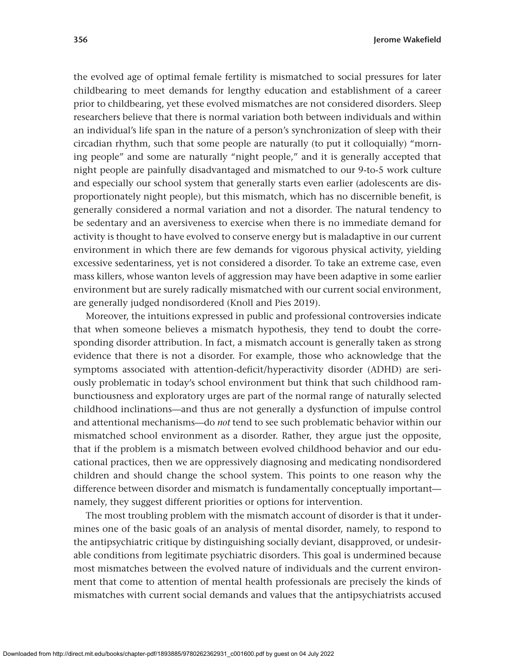the evolved age of optimal female fertility is mismatched to social pressures for later childbearing to meet demands for lengthy education and establishment of a career prior to childbearing, yet these evolved mismatches are not considered disorders. Sleep researchers believe that there is normal variation both between individuals and within an individual's life span in the nature of a person's synchronization of sleep with their circadian rhythm, such that some people are naturally (to put it colloquially) "morning people" and some are naturally "night people," and it is generally accepted that night people are painfully disadvantaged and mismatched to our 9-to-5 work culture and especially our school system that generally starts even earlier (adolescents are disproportionately night people), but this mismatch, which has no discernible benefit, is generally considered a normal variation and not a disorder. The natural tendency to be sedentary and an aversiveness to exercise when there is no immediate demand for activity is thought to have evolved to conserve energy but is maladaptive in our current environment in which there are few demands for vigorous physical activity, yielding excessive sedentariness, yet is not considered a disorder. To take an extreme case, even mass killers, whose wanton levels of aggression may have been adaptive in some earlier environment but are surely radically mismatched with our current social environment, are generally judged nondisordered (Knoll and Pies 2019).

Moreover, the intuitions expressed in public and professional controversies indicate that when someone believes a mismatch hypothesis, they tend to doubt the corresponding disorder attribution. In fact, a mismatch account is generally taken as strong evidence that there is not a disorder. For example, those who acknowledge that the symptoms associated with attention-deficit/hyperactivity disorder (ADHD) are seriously problematic in today's school environment but think that such childhood rambunctiousness and exploratory urges are part of the normal range of naturally selected childhood inclinations—and thus are not generally a dysfunction of impulse control and attentional mechanisms—do *not* tend to see such problematic behavior within our mismatched school environment as a disorder. Rather, they argue just the opposite, that if the problem is a mismatch between evolved childhood behavior and our educational practices, then we are oppressively diagnosing and medicating nondisordered children and should change the school system. This points to one reason why the difference between disorder and mismatch is fundamentally conceptually important namely, they suggest different priorities or options for intervention.

The most troubling problem with the mismatch account of disorder is that it undermines one of the basic goals of an analysis of mental disorder, namely, to respond to the antipsychiatric critique by distinguishing socially deviant, disapproved, or undesirable conditions from legitimate psychiatric disorders. This goal is undermined because most mismatches between the evolved nature of individuals and the current environment that come to attention of mental health professionals are precisely the kinds of mismatches with current social demands and values that the antipsychiatrists accused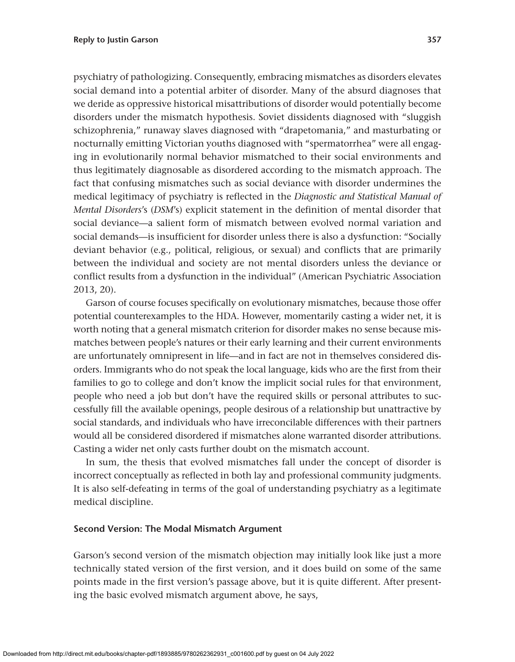psychiatry of pathologizing. Consequently, embracing mismatches as disorders elevates social demand into a potential arbiter of disorder. Many of the absurd diagnoses that we deride as oppressive historical misattributions of disorder would potentially become disorders under the mismatch hypothesis. Soviet dissidents diagnosed with "sluggish schizophrenia," runaway slaves diagnosed with "drapetomania," and masturbating or nocturnally emitting Victorian youths diagnosed with "spermatorrhea" were all engaging in evolutionarily normal behavior mismatched to their social environments and thus legitimately diagnosable as disordered according to the mismatch approach. The fact that confusing mismatches such as social deviance with disorder undermines the medical legitimacy of psychiatry is reflected in the *Diagnostic and Statistical Manual of Mental Disorders*'s (*DSM*'s) explicit statement in the definition of mental disorder that social deviance—a salient form of mismatch between evolved normal variation and social demands—is insufficient for disorder unless there is also a dysfunction: "Socially deviant behavior (e.g., political, religious, or sexual) and conflicts that are primarily between the individual and society are not mental disorders unless the deviance or conflict results from a dysfunction in the individual" (American Psychiatric Association 2013, 20).

Garson of course focuses specifically on evolutionary mismatches, because those offer potential counterexamples to the HDA. However, momentarily casting a wider net, it is worth noting that a general mismatch criterion for disorder makes no sense because mismatches between people's natures or their early learning and their current environments are unfortunately omnipresent in life—and in fact are not in themselves considered disorders. Immigrants who do not speak the local language, kids who are the first from their families to go to college and don't know the implicit social rules for that environment, people who need a job but don't have the required skills or personal attributes to successfully fill the available openings, people desirous of a relationship but unattractive by social standards, and individuals who have irreconcilable differences with their partners would all be considered disordered if mismatches alone warranted disorder attributions. Casting a wider net only casts further doubt on the mismatch account.

In sum, the thesis that evolved mismatches fall under the concept of disorder is incorrect conceptually as reflected in both lay and professional community judgments. It is also self-defeating in terms of the goal of understanding psychiatry as a legitimate medical discipline.

### **Second Version: The Modal Mismatch Argument**

Garson's second version of the mismatch objection may initially look like just a more technically stated version of the first version, and it does build on some of the same points made in the first version's passage above, but it is quite different. After presenting the basic evolved mismatch argument above, he says,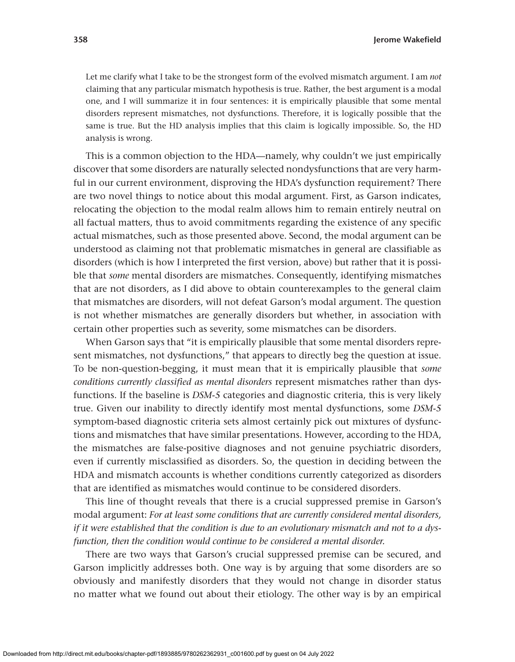Let me clarify what I take to be the strongest form of the evolved mismatch argument. I am *not* claiming that any particular mismatch hypothesis is true. Rather, the best argument is a modal one, and I will summarize it in four sentences: it is empirically plausible that some mental disorders represent mismatches, not dysfunctions. Therefore, it is logically possible that the same is true. But the HD analysis implies that this claim is logically impossible. So, the HD analysis is wrong.

This is a common objection to the HDA—namely, why couldn't we just empirically discover that some disorders are naturally selected nondysfunctions that are very harmful in our current environment, disproving the HDA's dysfunction requirement? There are two novel things to notice about this modal argument. First, as Garson indicates, relocating the objection to the modal realm allows him to remain entirely neutral on all factual matters, thus to avoid commitments regarding the existence of any specific actual mismatches, such as those presented above. Second, the modal argument can be understood as claiming not that problematic mismatches in general are classifiable as disorders (which is how I interpreted the first version, above) but rather that it is possible that *some* mental disorders are mismatches. Consequently, identifying mismatches that are not disorders, as I did above to obtain counterexamples to the general claim that mismatches are disorders, will not defeat Garson's modal argument. The question is not whether mismatches are generally disorders but whether, in association with certain other properties such as severity, some mismatches can be disorders.

When Garson says that "it is empirically plausible that some mental disorders represent mismatches, not dysfunctions," that appears to directly beg the question at issue. To be non-question-begging, it must mean that it is empirically plausible that *some conditions currently classified as mental disorders* represent mismatches rather than dysfunctions. If the baseline is *DSM-5* categories and diagnostic criteria, this is very likely true. Given our inability to directly identify most mental dysfunctions, some *DSM-5* symptom-based diagnostic criteria sets almost certainly pick out mixtures of dysfunctions and mismatches that have similar presentations. However, according to the HDA, the mismatches are false-positive diagnoses and not genuine psychiatric disorders, even if currently misclassified as disorders. So, the question in deciding between the HDA and mismatch accounts is whether conditions currently categorized as disorders that are identified as mismatches would continue to be considered disorders.

This line of thought reveals that there is a crucial suppressed premise in Garson's modal argument: *For at least some conditions that are currently considered mental disorders, if it were established that the condition is due to an evolutionary mismatch and not to a dysfunction, then the condition would continue to be considered a mental disorder.*

There are two ways that Garson's crucial suppressed premise can be secured, and Garson implicitly addresses both. One way is by arguing that some disorders are so obviously and manifestly disorders that they would not change in disorder status no matter what we found out about their etiology. The other way is by an empirical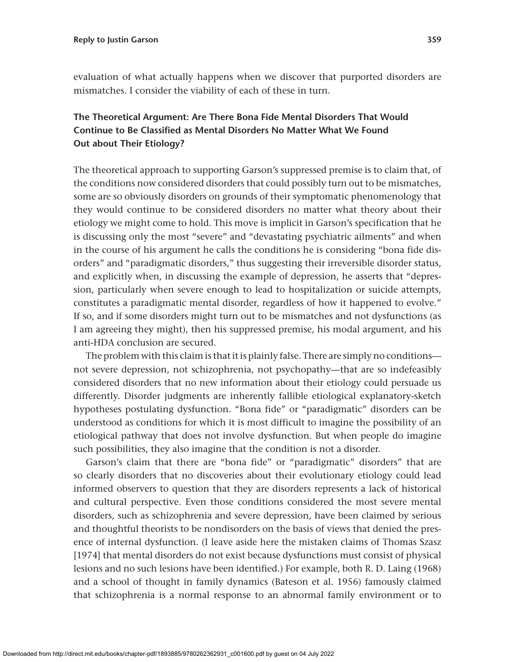evaluation of what actually happens when we discover that purported disorders are mismatches. I consider the viability of each of these in turn.

## **The Theoretical Argument: Are There Bona Fide Mental Disorders That Would Continue to Be Classified as Mental Disorders No Matter What We Found Out about Their Etiology?**

The theoretical approach to supporting Garson's suppressed premise is to claim that, of the conditions now considered disorders that could possibly turn out to be mismatches, some are so obviously disorders on grounds of their symptomatic phenomenology that they would continue to be considered disorders no matter what theory about their etiology we might come to hold. This move is implicit in Garson's specification that he is discussing only the most "severe" and "devastating psychiatric ailments" and when in the course of his argument he calls the conditions he is considering "bona fide disorders" and "paradigmatic disorders," thus suggesting their irreversible disorder status, and explicitly when, in discussing the example of depression, he asserts that "depression, particularly when severe enough to lead to hospitalization or suicide attempts, constitutes a paradigmatic mental disorder, regardless of how it happened to evolve." If so, and if some disorders might turn out to be mismatches and not dysfunctions (as I am agreeing they might), then his suppressed premise, his modal argument, and his anti-HDA conclusion are secured.

The problem with this claim is that it is plainly false. There are simply no conditions not severe depression, not schizophrenia, not psychopathy—that are so indefeasibly considered disorders that no new information about their etiology could persuade us differently. Disorder judgments are inherently fallible etiological explanatory-sketch hypotheses postulating dysfunction. "Bona fide" or "paradigmatic" disorders can be understood as conditions for which it is most difficult to imagine the possibility of an etiological pathway that does not involve dysfunction. But when people do imagine such possibilities, they also imagine that the condition is not a disorder.

Garson's claim that there are "bona fide" or "paradigmatic" disorders" that are so clearly disorders that no discoveries about their evolutionary etiology could lead informed observers to question that they are disorders represents a lack of historical and cultural perspective. Even those conditions considered the most severe mental disorders, such as schizophrenia and severe depression, have been claimed by serious and thoughtful theorists to be nondisorders on the basis of views that denied the presence of internal dysfunction. (I leave aside here the mistaken claims of Thomas Szasz [1974] that mental disorders do not exist because dysfunctions must consist of physical lesions and no such lesions have been identified.) For example, both R. D. Laing (1968) and a school of thought in family dynamics (Bateson et al. 1956) famously claimed that schizophrenia is a normal response to an abnormal family environment or to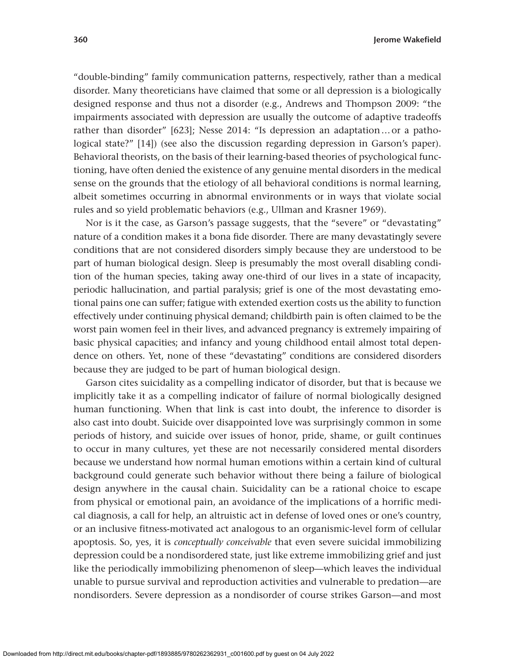"double-binding" family communication patterns, respectively, rather than a medical disorder. Many theoreticians have claimed that some or all depression is a biologically designed response and thus not a disorder (e.g., Andrews and Thompson 2009: "the impairments associated with depression are usually the outcome of adaptive tradeoffs rather than disorder" [623]; Nesse 2014: "Is depression an adaptation…or a pathological state?" [14]) (see also the discussion regarding depression in Garson's paper). Behavioral theorists, on the basis of their learning-based theories of psychological functioning, have often denied the existence of any genuine mental disorders in the medical sense on the grounds that the etiology of all behavioral conditions is normal learning, albeit sometimes occurring in abnormal environments or in ways that violate social rules and so yield problematic behaviors (e.g., Ullman and Krasner 1969).

Nor is it the case, as Garson's passage suggests, that the "severe" or "devastating" nature of a condition makes it a bona fide disorder. There are many devastatingly severe conditions that are not considered disorders simply because they are understood to be part of human biological design. Sleep is presumably the most overall disabling condition of the human species, taking away one-third of our lives in a state of incapacity, periodic hallucination, and partial paralysis; grief is one of the most devastating emotional pains one can suffer; fatigue with extended exertion costs us the ability to function effectively under continuing physical demand; childbirth pain is often claimed to be the worst pain women feel in their lives, and advanced pregnancy is extremely impairing of basic physical capacities; and infancy and young childhood entail almost total dependence on others. Yet, none of these "devastating" conditions are considered disorders because they are judged to be part of human biological design.

Garson cites suicidality as a compelling indicator of disorder, but that is because we implicitly take it as a compelling indicator of failure of normal biologically designed human functioning. When that link is cast into doubt, the inference to disorder is also cast into doubt. Suicide over disappointed love was surprisingly common in some periods of history, and suicide over issues of honor, pride, shame, or guilt continues to occur in many cultures, yet these are not necessarily considered mental disorders because we understand how normal human emotions within a certain kind of cultural background could generate such behavior without there being a failure of biological design anywhere in the causal chain. Suicidality can be a rational choice to escape from physical or emotional pain, an avoidance of the implications of a horrific medical diagnosis, a call for help, an altruistic act in defense of loved ones or one's country, or an inclusive fitness-motivated act analogous to an organismic-level form of cellular apoptosis. So, yes, it is *conceptually conceivable* that even severe suicidal immobilizing depression could be a nondisordered state, just like extreme immobilizing grief and just like the periodically immobilizing phenomenon of sleep—which leaves the individual unable to pursue survival and reproduction activities and vulnerable to predation—are nondisorders. Severe depression as a nondisorder of course strikes Garson—and most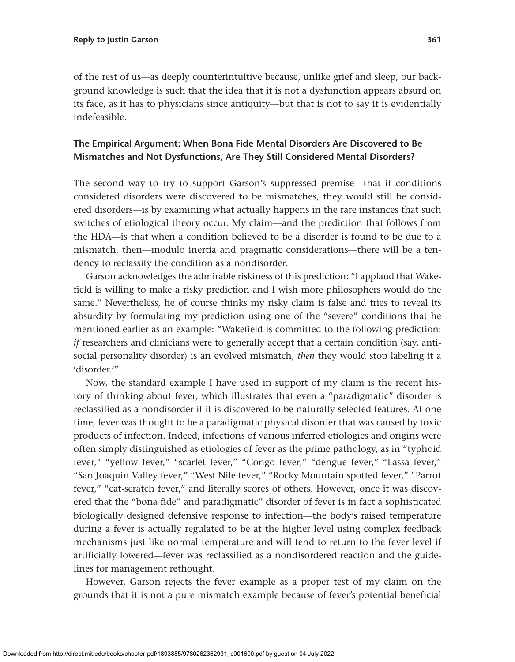of the rest of us—as deeply counterintuitive because, unlike grief and sleep, our background knowledge is such that the idea that it is not a dysfunction appears absurd on its face, as it has to physicians since antiquity—but that is not to say it is evidentially indefeasible.

## **The Empirical Argument: When Bona Fide Mental Disorders Are Discovered to Be Mismatches and Not Dysfunctions, Are They Still Considered Mental Disorders?**

The second way to try to support Garson's suppressed premise—that if conditions considered disorders were discovered to be mismatches, they would still be considered disorders—is by examining what actually happens in the rare instances that such switches of etiological theory occur. My claim—and the prediction that follows from the HDA—is that when a condition believed to be a disorder is found to be due to a mismatch, then—modulo inertia and pragmatic considerations—there will be a tendency to reclassify the condition as a nondisorder.

Garson acknowledges the admirable riskiness of this prediction: "I applaud that Wakefield is willing to make a risky prediction and I wish more philosophers would do the same." Nevertheless, he of course thinks my risky claim is false and tries to reveal its absurdity by formulating my prediction using one of the "severe" conditions that he mentioned earlier as an example: "Wakefield is committed to the following prediction: *if* researchers and clinicians were to generally accept that a certain condition (say, antisocial personality disorder) is an evolved mismatch, *then* they would stop labeling it a 'disorder.'"

Now, the standard example I have used in support of my claim is the recent history of thinking about fever, which illustrates that even a "paradigmatic" disorder is reclassified as a nondisorder if it is discovered to be naturally selected features. At one time, fever was thought to be a paradigmatic physical disorder that was caused by toxic products of infection. Indeed, infections of various inferred etiologies and origins were often simply distinguished as etiologies of fever as the prime pathology, as in "typhoid fever," "yellow fever," "scarlet fever," "Congo fever," "dengue fever," "Lassa fever," "San Joaquin Valley fever," "West Nile fever," "Rocky Mountain spotted fever," "Parrot fever," "cat-scratch fever," and literally scores of others. However, once it was discovered that the "bona fide" and paradigmatic" disorder of fever is in fact a sophisticated biologically designed defensive response to infection—the body's raised temperature during a fever is actually regulated to be at the higher level using complex feedback mechanisms just like normal temperature and will tend to return to the fever level if artificially lowered—fever was reclassified as a nondisordered reaction and the guidelines for management rethought.

However, Garson rejects the fever example as a proper test of my claim on the grounds that it is not a pure mismatch example because of fever's potential beneficial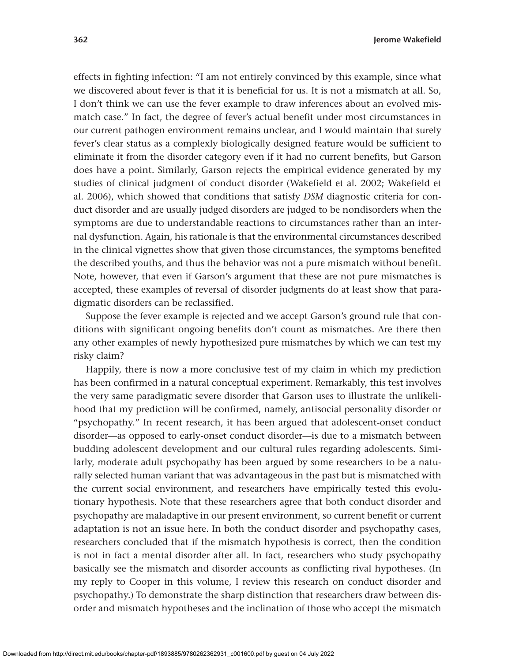effects in fighting infection: "I am not entirely convinced by this example, since what we discovered about fever is that it is beneficial for us. It is not a mismatch at all. So, I don't think we can use the fever example to draw inferences about an evolved mismatch case." In fact, the degree of fever's actual benefit under most circumstances in our current pathogen environment remains unclear, and I would maintain that surely fever's clear status as a complexly biologically designed feature would be sufficient to eliminate it from the disorder category even if it had no current benefits, but Garson does have a point. Similarly, Garson rejects the empirical evidence generated by my studies of clinical judgment of conduct disorder (Wakefield et al. 2002; Wakefield et al. 2006), which showed that conditions that satisfy *DSM* diagnostic criteria for conduct disorder and are usually judged disorders are judged to be nondisorders when the symptoms are due to understandable reactions to circumstances rather than an internal dysfunction. Again, his rationale is that the environmental circumstances described in the clinical vignettes show that given those circumstances, the symptoms benefited the described youths, and thus the behavior was not a pure mismatch without benefit. Note, however, that even if Garson's argument that these are not pure mismatches is accepted, these examples of reversal of disorder judgments do at least show that paradigmatic disorders can be reclassified.

Suppose the fever example is rejected and we accept Garson's ground rule that conditions with significant ongoing benefits don't count as mismatches. Are there then any other examples of newly hypothesized pure mismatches by which we can test my risky claim?

Happily, there is now a more conclusive test of my claim in which my prediction has been confirmed in a natural conceptual experiment. Remarkably, this test involves the very same paradigmatic severe disorder that Garson uses to illustrate the unlikelihood that my prediction will be confirmed, namely, antisocial personality disorder or "psychopathy." In recent research, it has been argued that adolescent-onset conduct disorder—as opposed to early-onset conduct disorder—is due to a mismatch between budding adolescent development and our cultural rules regarding adolescents. Similarly, moderate adult psychopathy has been argued by some researchers to be a naturally selected human variant that was advantageous in the past but is mismatched with the current social environment, and researchers have empirically tested this evolutionary hypothesis. Note that these researchers agree that both conduct disorder and psychopathy are maladaptive in our present environment, so current benefit or current adaptation is not an issue here. In both the conduct disorder and psychopathy cases, researchers concluded that if the mismatch hypothesis is correct, then the condition is not in fact a mental disorder after all. In fact, researchers who study psychopathy basically see the mismatch and disorder accounts as conflicting rival hypotheses. (In my reply to Cooper in this volume, I review this research on conduct disorder and psychopathy.) To demonstrate the sharp distinction that researchers draw between disorder and mismatch hypotheses and the inclination of those who accept the mismatch

Downloaded from http://direct.mit.edu/books/chapter-pdf/1893885/9780262362931\_c001600.pdf by guest on 04 July 2022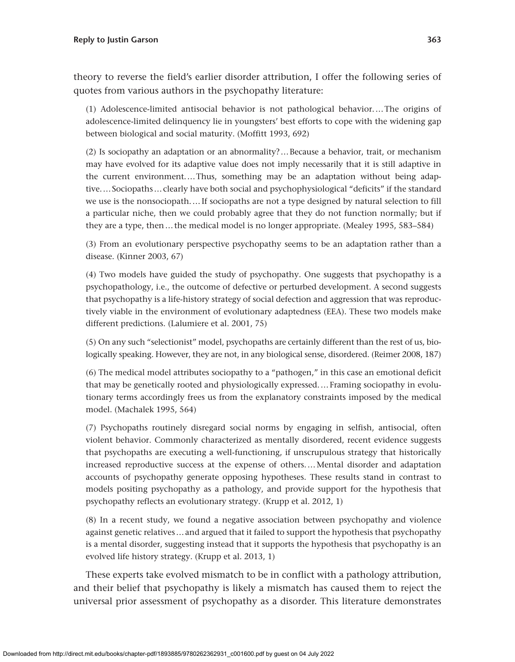theory to reverse the field's earlier disorder attribution, I offer the following series of quotes from various authors in the psychopathy literature:

(1) Adolescence-limited antisocial behavior is not pathological behavior.…The origins of adolescence-limited delinquency lie in youngsters' best efforts to cope with the widening gap between biological and social maturity. (Moffitt 1993, 692)

(2) Is sociopathy an adaptation or an abnormality?…Because a behavior, trait, or mechanism may have evolved for its adaptive value does not imply necessarily that it is still adaptive in the current environment.…Thus, something may be an adaptation without being adaptive.…Sociopaths…clearly have both social and psychophysiological "deficits" if the standard we use is the nonsociopath.…If sociopaths are not a type designed by natural selection to fill a particular niche, then we could probably agree that they do not function normally; but if they are a type, then…the medical model is no longer appropriate. (Mealey 1995, 583–584)

(3) From an evolutionary perspective psychopathy seems to be an adaptation rather than a disease. (Kinner 2003, 67)

(4) Two models have guided the study of psychopathy. One suggests that psychopathy is a psychopathology, i.e., the outcome of defective or perturbed development. A second suggests that psychopathy is a life-history strategy of social defection and aggression that was reproductively viable in the environment of evolutionary adaptedness (EEA). These two models make different predictions. (Lalumiere et al. 2001, 75)

(5) On any such "selectionist" model, psychopaths are certainly different than the rest of us, biologically speaking. However, they are not, in any biological sense, disordered. (Reimer 2008, 187)

(6) The medical model attributes sociopathy to a "pathogen," in this case an emotional deficit that may be genetically rooted and physiologically expressed.…Framing sociopathy in evolutionary terms accordingly frees us from the explanatory constraints imposed by the medical model. (Machalek 1995, 564)

(7) Psychopaths routinely disregard social norms by engaging in selfish, antisocial, often violent behavior. Commonly characterized as mentally disordered, recent evidence suggests that psychopaths are executing a well-functioning, if unscrupulous strategy that historically increased reproductive success at the expense of others.…Mental disorder and adaptation accounts of psychopathy generate opposing hypotheses. These results stand in contrast to models positing psychopathy as a pathology, and provide support for the hypothesis that psychopathy reflects an evolutionary strategy. (Krupp et al. 2012, 1)

(8) In a recent study, we found a negative association between psychopathy and violence against genetic relatives…and argued that it failed to support the hypothesis that psychopathy is a mental disorder, suggesting instead that it supports the hypothesis that psychopathy is an evolved life history strategy. (Krupp et al. 2013, 1)

These experts take evolved mismatch to be in conflict with a pathology attribution, and their belief that psychopathy is likely a mismatch has caused them to reject the universal prior assessment of psychopathy as a disorder. This literature demonstrates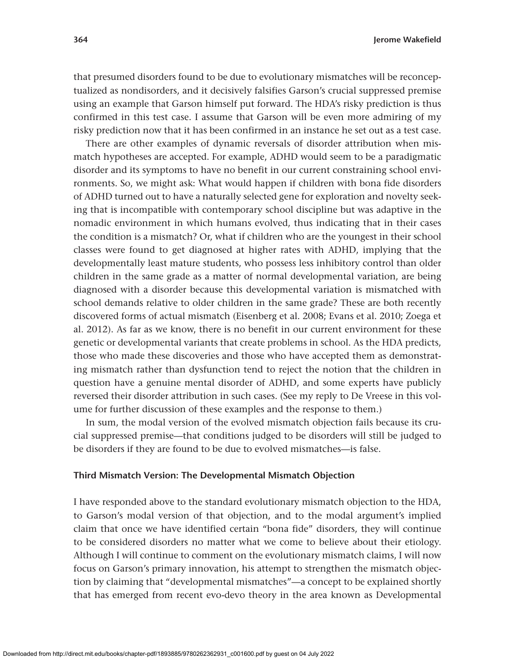that presumed disorders found to be due to evolutionary mismatches will be reconceptualized as nondisorders, and it decisively falsifies Garson's crucial suppressed premise using an example that Garson himself put forward. The HDA's risky prediction is thus confirmed in this test case. I assume that Garson will be even more admiring of my risky prediction now that it has been confirmed in an instance he set out as a test case.

There are other examples of dynamic reversals of disorder attribution when mismatch hypotheses are accepted. For example, ADHD would seem to be a paradigmatic disorder and its symptoms to have no benefit in our current constraining school environments. So, we might ask: What would happen if children with bona fide disorders of ADHD turned out to have a naturally selected gene for exploration and novelty seeking that is incompatible with contemporary school discipline but was adaptive in the nomadic environment in which humans evolved, thus indicating that in their cases the condition is a mismatch? Or, what if children who are the youngest in their school classes were found to get diagnosed at higher rates with ADHD, implying that the developmentally least mature students, who possess less inhibitory control than older children in the same grade as a matter of normal developmental variation, are being diagnosed with a disorder because this developmental variation is mismatched with school demands relative to older children in the same grade? These are both recently discovered forms of actual mismatch (Eisenberg et al. 2008; Evans et al. 2010; Zoega et al. 2012). As far as we know, there is no benefit in our current environment for these genetic or developmental variants that create problems in school. As the HDA predicts, those who made these discoveries and those who have accepted them as demonstrating mismatch rather than dysfunction tend to reject the notion that the children in question have a genuine mental disorder of ADHD, and some experts have publicly reversed their disorder attribution in such cases. (See my reply to De Vreese in this volume for further discussion of these examples and the response to them.)

In sum, the modal version of the evolved mismatch objection fails because its crucial suppressed premise—that conditions judged to be disorders will still be judged to be disorders if they are found to be due to evolved mismatches—is false.

#### **Third Mismatch Version: The Developmental Mismatch Objection**

I have responded above to the standard evolutionary mismatch objection to the HDA, to Garson's modal version of that objection, and to the modal argument's implied claim that once we have identified certain "bona fide" disorders, they will continue to be considered disorders no matter what we come to believe about their etiology. Although I will continue to comment on the evolutionary mismatch claims, I will now focus on Garson's primary innovation, his attempt to strengthen the mismatch objection by claiming that "developmental mismatches"—a concept to be explained shortly that has emerged from recent evo-devo theory in the area known as Developmental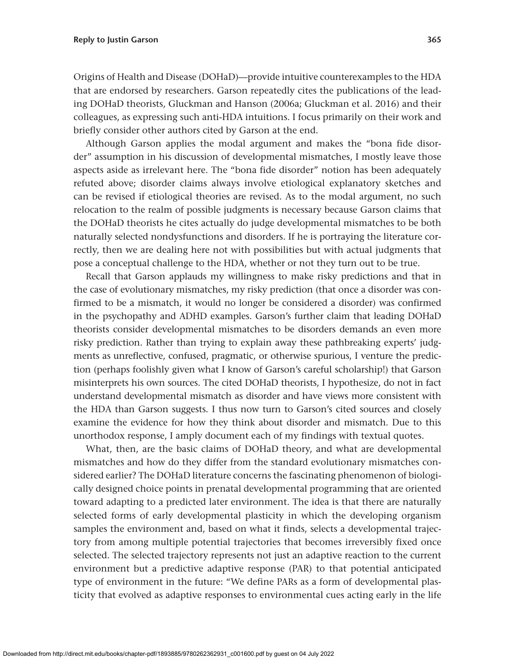Origins of Health and Disease (DOHaD)—provide intuitive counterexamples to the HDA that are endorsed by researchers. Garson repeatedly cites the publications of the leading DOHaD theorists, Gluckman and Hanson (2006a; Gluckman et al. 2016) and their colleagues, as expressing such anti-HDA intuitions. I focus primarily on their work and briefly consider other authors cited by Garson at the end.

Although Garson applies the modal argument and makes the "bona fide disorder" assumption in his discussion of developmental mismatches, I mostly leave those aspects aside as irrelevant here. The "bona fide disorder" notion has been adequately refuted above; disorder claims always involve etiological explanatory sketches and can be revised if etiological theories are revised. As to the modal argument, no such relocation to the realm of possible judgments is necessary because Garson claims that the DOHaD theorists he cites actually do judge developmental mismatches to be both naturally selected nondysfunctions and disorders. If he is portraying the literature correctly, then we are dealing here not with possibilities but with actual judgments that pose a conceptual challenge to the HDA, whether or not they turn out to be true.

Recall that Garson applauds my willingness to make risky predictions and that in the case of evolutionary mismatches, my risky prediction (that once a disorder was confirmed to be a mismatch, it would no longer be considered a disorder) was confirmed in the psychopathy and ADHD examples. Garson's further claim that leading DOHaD theorists consider developmental mismatches to be disorders demands an even more risky prediction. Rather than trying to explain away these pathbreaking experts' judgments as unreflective, confused, pragmatic, or otherwise spurious, I venture the prediction (perhaps foolishly given what I know of Garson's careful scholarship!) that Garson misinterprets his own sources. The cited DOHaD theorists, I hypothesize, do not in fact understand developmental mismatch as disorder and have views more consistent with the HDA than Garson suggests. I thus now turn to Garson's cited sources and closely examine the evidence for how they think about disorder and mismatch. Due to this unorthodox response, I amply document each of my findings with textual quotes.

What, then, are the basic claims of DOHaD theory, and what are developmental mismatches and how do they differ from the standard evolutionary mismatches considered earlier? The DOHaD literature concerns the fascinating phenomenon of biologically designed choice points in prenatal developmental programming that are oriented toward adapting to a predicted later environment. The idea is that there are naturally selected forms of early developmental plasticity in which the developing organism samples the environment and, based on what it finds, selects a developmental trajectory from among multiple potential trajectories that becomes irreversibly fixed once selected. The selected trajectory represents not just an adaptive reaction to the current environment but a predictive adaptive response (PAR) to that potential anticipated type of environment in the future: "We define PARs as a form of developmental plasticity that evolved as adaptive responses to environmental cues acting early in the life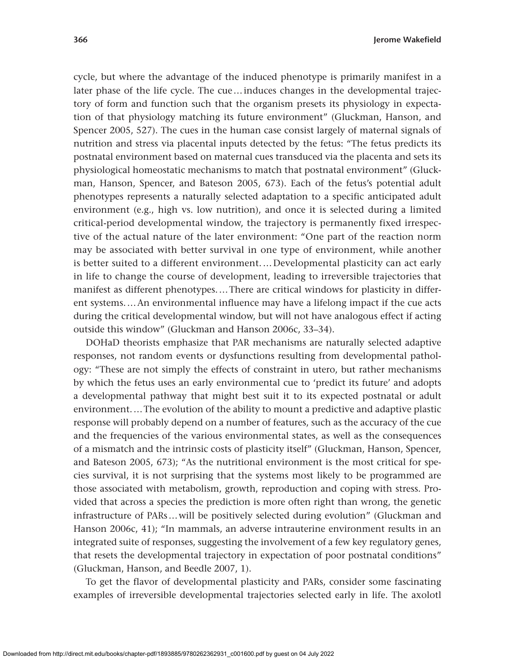cycle, but where the advantage of the induced phenotype is primarily manifest in a later phase of the life cycle. The cue…induces changes in the developmental trajectory of form and function such that the organism presets its physiology in expectation of that physiology matching its future environment" (Gluckman, Hanson, and Spencer 2005, 527). The cues in the human case consist largely of maternal signals of nutrition and stress via placental inputs detected by the fetus: "The fetus predicts its postnatal environment based on maternal cues transduced via the placenta and sets its physiological homeostatic mechanisms to match that postnatal environment" (Gluckman, Hanson, Spencer, and Bateson 2005, 673). Each of the fetus's potential adult phenotypes represents a naturally selected adaptation to a specific anticipated adult environment (e.g., high vs. low nutrition), and once it is selected during a limited critical-period developmental window, the trajectory is permanently fixed irrespective of the actual nature of the later environment: "One part of the reaction norm may be associated with better survival in one type of environment, while another is better suited to a different environment.…Developmental plasticity can act early in life to change the course of development, leading to irreversible trajectories that manifest as different phenotypes.…There are critical windows for plasticity in different systems.…An environmental influence may have a lifelong impact if the cue acts during the critical developmental window, but will not have analogous effect if acting outside this window" (Gluckman and Hanson 2006c, 33–34).

DOHaD theorists emphasize that PAR mechanisms are naturally selected adaptive responses, not random events or dysfunctions resulting from developmental pathology: "These are not simply the effects of constraint in utero, but rather mechanisms by which the fetus uses an early environmental cue to 'predict its future' and adopts a developmental pathway that might best suit it to its expected postnatal or adult environment.…The evolution of the ability to mount a predictive and adaptive plastic response will probably depend on a number of features, such as the accuracy of the cue and the frequencies of the various environmental states, as well as the consequences of a mismatch and the intrinsic costs of plasticity itself" (Gluckman, Hanson, Spencer, and Bateson 2005, 673); "As the nutritional environment is the most critical for species survival, it is not surprising that the systems most likely to be programmed are those associated with metabolism, growth, reproduction and coping with stress. Provided that across a species the prediction is more often right than wrong, the genetic infrastructure of PARs…will be positively selected during evolution" (Gluckman and Hanson 2006c, 41); "In mammals, an adverse intrauterine environment results in an integrated suite of responses, suggesting the involvement of a few key regulatory genes, that resets the developmental trajectory in expectation of poor postnatal conditions" (Gluckman, Hanson, and Beedle 2007, 1).

To get the flavor of developmental plasticity and PARs, consider some fascinating examples of irreversible developmental trajectories selected early in life. The axolotl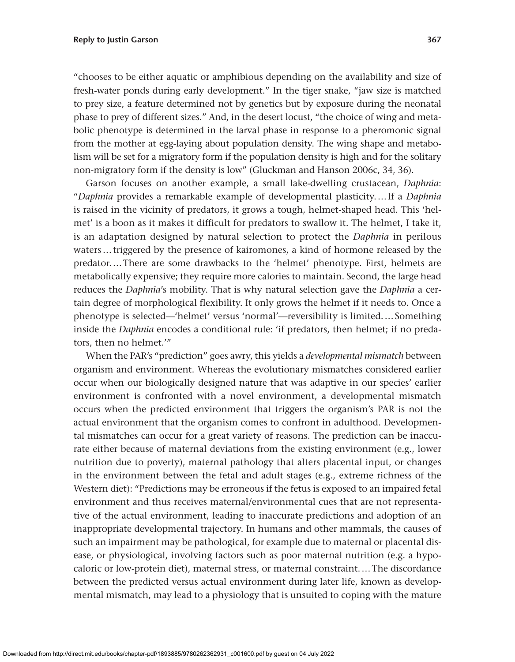"chooses to be either aquatic or amphibious depending on the availability and size of fresh-water ponds during early development." In the tiger snake, "jaw size is matched to prey size, a feature determined not by genetics but by exposure during the neonatal phase to prey of different sizes." And, in the desert locust, "the choice of wing and metabolic phenotype is determined in the larval phase in response to a pheromonic signal from the mother at egg-laying about population density. The wing shape and metabolism will be set for a migratory form if the population density is high and for the solitary non-migratory form if the density is low" (Gluckman and Hanson 2006c, 34, 36).

Garson focuses on another example, a small lake-dwelling crustacean, *Daphnia*: "*Daphnia* provides a remarkable example of developmental plasticity.…If a *Daphnia* is raised in the vicinity of predators, it grows a tough, helmet-shaped head. This 'helmet' is a boon as it makes it difficult for predators to swallow it. The helmet, I take it, is an adaptation designed by natural selection to protect the *Daphnia* in perilous waters…triggered by the presence of kairomones, a kind of hormone released by the predator.…There are some drawbacks to the 'helmet' phenotype. First, helmets are metabolically expensive; they require more calories to maintain. Second, the large head reduces the *Daphnia*'s mobility. That is why natural selection gave the *Daphnia* a certain degree of morphological flexibility. It only grows the helmet if it needs to. Once a phenotype is selected—'helmet' versus 'normal'—reversibility is limited.…Something inside the *Daphnia* encodes a conditional rule: 'if predators, then helmet; if no predators, then no helmet.'"

When the PAR's "prediction" goes awry, this yields a *developmental mismatch* between organism and environment. Whereas the evolutionary mismatches considered earlier occur when our biologically designed nature that was adaptive in our species' earlier environment is confronted with a novel environment, a developmental mismatch occurs when the predicted environment that triggers the organism's PAR is not the actual environment that the organism comes to confront in adulthood. Developmental mismatches can occur for a great variety of reasons. The prediction can be inaccurate either because of maternal deviations from the existing environment (e.g., lower nutrition due to poverty), maternal pathology that alters placental input, or changes in the environment between the fetal and adult stages (e.g., extreme richness of the Western diet): "Predictions may be erroneous if the fetus is exposed to an impaired fetal environment and thus receives maternal/environmental cues that are not representative of the actual environment, leading to inaccurate predictions and adoption of an inappropriate developmental trajectory. In humans and other mammals, the causes of such an impairment may be pathological, for example due to maternal or placental disease, or physiological, involving factors such as poor maternal nutrition (e.g. a hypocaloric or low-protein diet), maternal stress, or maternal constraint.…The discordance between the predicted versus actual environment during later life, known as developmental mismatch, may lead to a physiology that is unsuited to coping with the mature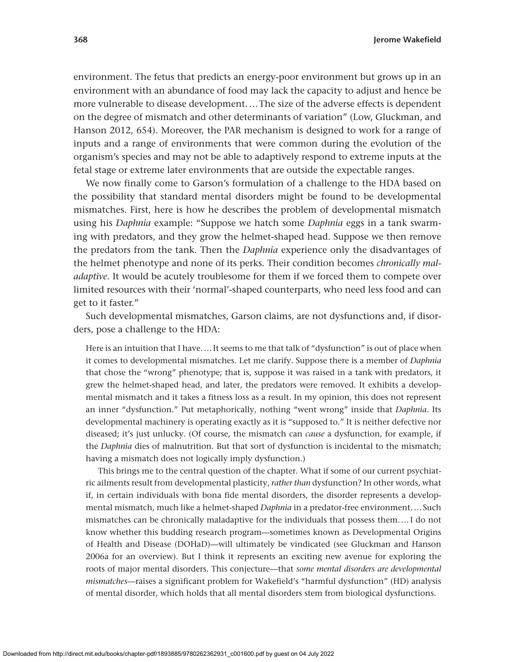environment. The fetus that predicts an energy-poor environment but grows up in an environment with an abundance of food may lack the capacity to adjust and hence be more vulnerable to disease development.…The size of the adverse effects is dependent on the degree of mismatch and other determinants of variation" (Low, Gluckman, and Hanson 2012, 654). Moreover, the PAR mechanism is designed to work for a range of inputs and a range of environments that were common during the evolution of the organism's species and may not be able to adaptively respond to extreme inputs at the fetal stage or extreme later environments that are outside the expectable ranges.

We now finally come to Garson's formulation of a challenge to the HDA based on the possibility that standard mental disorders might be found to be developmental mismatches. First, here is how he describes the problem of developmental mismatch using his *Daphnia* example: "Suppose we hatch some *Daphnia* eggs in a tank swarming with predators, and they grow the helmet-shaped head. Suppose we then remove the predators from the tank. Then the *Daphnia* experience only the disadvantages of the helmet phenotype and none of its perks. Their condition becomes *chronically maladaptive*. It would be acutely troublesome for them if we forced them to compete over limited resources with their 'normal'-shaped counterparts, who need less food and can get to it faster."

Such developmental mismatches, Garson claims, are not dysfunctions and, if disorders, pose a challenge to the HDA:

Here is an intuition that I have.…It seems to me that talk of "dysfunction" is out of place when it comes to developmental mismatches. Let me clarify. Suppose there is a member of *Daphnia* that chose the "wrong" phenotype; that is, suppose it was raised in a tank with predators, it grew the helmet-shaped head, and later, the predators were removed. It exhibits a developmental mismatch and it takes a fitness loss as a result. In my opinion, this does not represent an inner "dysfunction." Put metaphorically, nothing "went wrong" inside that *Daphnia*. Its developmental machinery is operating exactly as it is "supposed to." It is neither defective nor diseased; it's just unlucky. (Of course, the mismatch can *cause* a dysfunction, for example, if the *Daphnia* dies of malnutrition. But that sort of dysfunction is incidental to the mismatch; having a mismatch does not logically imply dysfunction.)

This brings me to the central question of the chapter. What if some of our current psychiatric ailments result from developmental plasticity, *rather than* dysfunction? In other words, what if, in certain individuals with bona fide mental disorders, the disorder represents a developmental mismatch, much like a helmet-shaped *Daphnia* in a predator-free environment.…Such mismatches can be chronically maladaptive for the individuals that possess them.…I do not know whether this budding research program—sometimes known as Developmental Origins of Health and Disease (DOHaD)—will ultimately be vindicated (see Gluckman and Hanson 2006a for an overview). But I think it represents an exciting new avenue for exploring the roots of major mental disorders. This conjecture—that *some mental disorders are developmental mismatches*—raises a significant problem for Wakefield's "harmful dysfunction" (HD) analysis of mental disorder, which holds that all mental disorders stem from biological dysfunctions.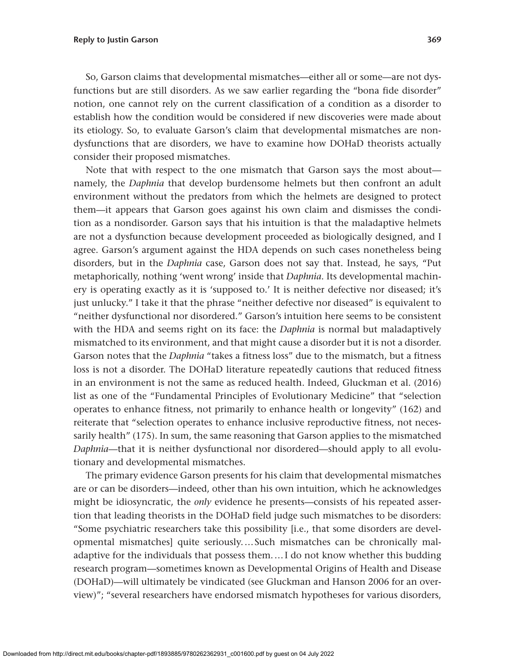So, Garson claims that developmental mismatches—either all or some—are not dysfunctions but are still disorders. As we saw earlier regarding the "bona fide disorder" notion, one cannot rely on the current classification of a condition as a disorder to establish how the condition would be considered if new discoveries were made about its etiology. So, to evaluate Garson's claim that developmental mismatches are nondysfunctions that are disorders, we have to examine how DOHaD theorists actually consider their proposed mismatches.

Note that with respect to the one mismatch that Garson says the most about namely, the *Daphnia* that develop burdensome helmets but then confront an adult environment without the predators from which the helmets are designed to protect them—it appears that Garson goes against his own claim and dismisses the condition as a nondisorder. Garson says that his intuition is that the maladaptive helmets are not a dysfunction because development proceeded as biologically designed, and I agree. Garson's argument against the HDA depends on such cases nonetheless being disorders, but in the *Daphnia* case, Garson does not say that. Instead, he says, "Put metaphorically, nothing 'went wrong' inside that *Daphnia*. Its developmental machinery is operating exactly as it is 'supposed to.' It is neither defective nor diseased; it's just unlucky." I take it that the phrase "neither defective nor diseased" is equivalent to "neither dysfunctional nor disordered." Garson's intuition here seems to be consistent with the HDA and seems right on its face: the *Daphnia* is normal but maladaptively mismatched to its environment, and that might cause a disorder but it is not a disorder. Garson notes that the *Daphnia* "takes a fitness loss" due to the mismatch, but a fitness loss is not a disorder. The DOHaD literature repeatedly cautions that reduced fitness in an environment is not the same as reduced health. Indeed, Gluckman et al. (2016) list as one of the "Fundamental Principles of Evolutionary Medicine" that "selection operates to enhance fitness, not primarily to enhance health or longevity" (162) and reiterate that "selection operates to enhance inclusive reproductive fitness, not necessarily health" (175). In sum, the same reasoning that Garson applies to the mismatched *Daphnia*—that it is neither dysfunctional nor disordered—should apply to all evolutionary and developmental mismatches.

The primary evidence Garson presents for his claim that developmental mismatches are or can be disorders—indeed, other than his own intuition, which he acknowledges might be idiosyncratic, the *only* evidence he presents—consists of his repeated assertion that leading theorists in the DOHaD field judge such mismatches to be disorders: "Some psychiatric researchers take this possibility [i.e., that some disorders are developmental mismatches] quite seriously.…Such mismatches can be chronically maladaptive for the individuals that possess them.…I do not know whether this budding research program—sometimes known as Developmental Origins of Health and Disease (DOHaD)—will ultimately be vindicated (see Gluckman and Hanson 2006 for an overview)"; "several researchers have endorsed mismatch hypotheses for various disorders,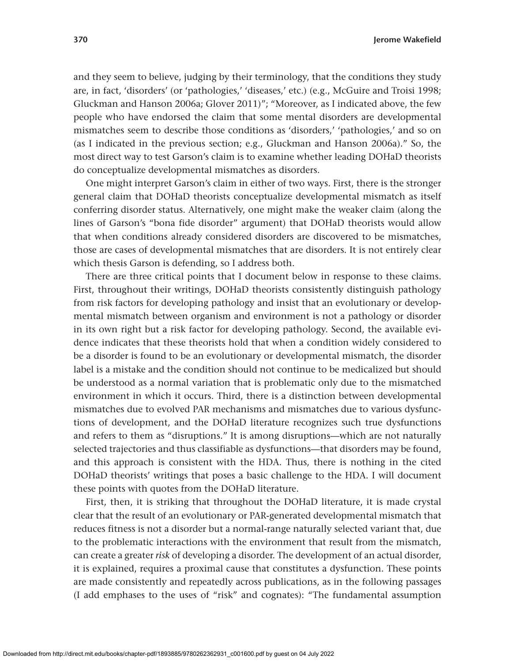and they seem to believe, judging by their terminology, that the conditions they study are, in fact, 'disorders' (or 'pathologies,' 'diseases,' etc.) (e.g., McGuire and Troisi 1998; Gluckman and Hanson 2006a; Glover 2011)"; "Moreover, as I indicated above, the few people who have endorsed the claim that some mental disorders are developmental mismatches seem to describe those conditions as 'disorders,' 'pathologies,' and so on (as I indicated in the previous section; e.g., Gluckman and Hanson 2006a)." So, the most direct way to test Garson's claim is to examine whether leading DOHaD theorists do conceptualize developmental mismatches as disorders.

One might interpret Garson's claim in either of two ways. First, there is the stronger general claim that DOHaD theorists conceptualize developmental mismatch as itself conferring disorder status. Alternatively, one might make the weaker claim (along the lines of Garson's "bona fide disorder" argument) that DOHaD theorists would allow that when conditions already considered disorders are discovered to be mismatches, those are cases of developmental mismatches that are disorders. It is not entirely clear which thesis Garson is defending, so I address both.

There are three critical points that I document below in response to these claims. First, throughout their writings, DOHaD theorists consistently distinguish pathology from risk factors for developing pathology and insist that an evolutionary or developmental mismatch between organism and environment is not a pathology or disorder in its own right but a risk factor for developing pathology. Second, the available evidence indicates that these theorists hold that when a condition widely considered to be a disorder is found to be an evolutionary or developmental mismatch, the disorder label is a mistake and the condition should not continue to be medicalized but should be understood as a normal variation that is problematic only due to the mismatched environment in which it occurs. Third, there is a distinction between developmental mismatches due to evolved PAR mechanisms and mismatches due to various dysfunctions of development, and the DOHaD literature recognizes such true dysfunctions and refers to them as "disruptions." It is among disruptions—which are not naturally selected trajectories and thus classifiable as dysfunctions—that disorders may be found, and this approach is consistent with the HDA. Thus, there is nothing in the cited DOHaD theorists' writings that poses a basic challenge to the HDA. I will document these points with quotes from the DOHaD literature.

First, then, it is striking that throughout the DOHaD literature, it is made crystal clear that the result of an evolutionary or PAR-generated developmental mismatch that reduces fitness is not a disorder but a normal-range naturally selected variant that, due to the problematic interactions with the environment that result from the mismatch, can create a greater *risk* of developing a disorder. The development of an actual disorder, it is explained, requires a proximal cause that constitutes a dysfunction. These points are made consistently and repeatedly across publications, as in the following passages (I add emphases to the uses of "risk" and cognates): "The fundamental assumption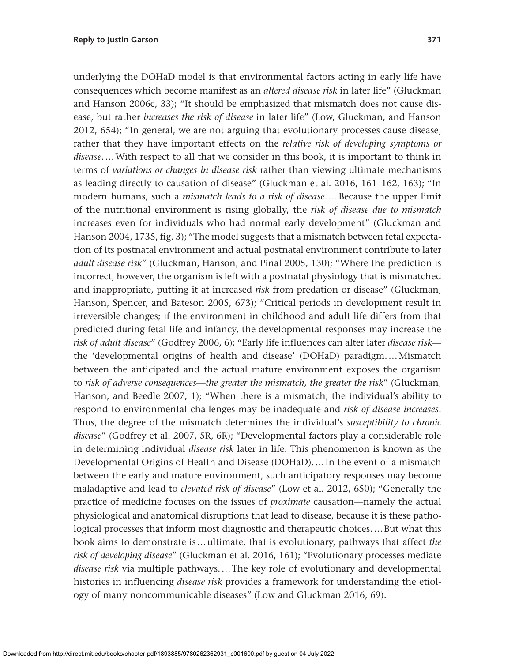underlying the DOHaD model is that environmental factors acting in early life have consequences which become manifest as an *altered disease risk* in later life" (Gluckman and Hanson 2006c, 33); "It should be emphasized that mismatch does not cause disease, but rather *increases the risk of disease* in later life" (Low, Gluckman, and Hanson 2012, 654); "In general, we are not arguing that evolutionary processes cause disease, rather that they have important effects on the *relative risk of developing symptoms or disease.*…With respect to all that we consider in this book, it is important to think in terms of *variations or changes in disease risk* rather than viewing ultimate mechanisms as leading directly to causation of disease" (Gluckman et al. 2016, 161–162, 163); "In modern humans, such a *mismatch leads to a risk of disease*.…Because the upper limit of the nutritional environment is rising globally, the *risk of disease due to mismatch* increases even for individuals who had normal early development" (Gluckman and Hanson 2004, 1735, fig. 3); "The model suggests that a mismatch between fetal expectation of its postnatal environment and actual postnatal environment contribute to later *adult disease risk*" (Gluckman, Hanson, and Pinal 2005, 130); "Where the prediction is incorrect, however, the organism is left with a postnatal physiology that is mismatched and inappropriate, putting it at increased *risk* from predation or disease" (Gluckman, Hanson, Spencer, and Bateson 2005, 673); "Critical periods in development result in irreversible changes; if the environment in childhood and adult life differs from that predicted during fetal life and infancy, the developmental responses may increase the *risk of adult disease*" (Godfrey 2006, 6); "Early life influences can alter later *disease risk* the 'developmental origins of health and disease' (DOHaD) paradigm.…Mismatch between the anticipated and the actual mature environment exposes the organism to *risk of adverse consequences*—*the greater the mismatch, the greater the risk*" (Gluckman, Hanson, and Beedle 2007, 1); "When there is a mismatch, the individual's ability to respond to environmental challenges may be inadequate and *risk of disease increases*. Thus, the degree of the mismatch determines the individual's *susceptibility to chronic disease*" (Godfrey et al. 2007, 5R, 6R); "Developmental factors play a considerable role in determining individual *disease risk* later in life. This phenomenon is known as the Developmental Origins of Health and Disease (DOHaD).…In the event of a mismatch between the early and mature environment, such anticipatory responses may become maladaptive and lead to *elevated risk of disease*" (Low et al. 2012, 650); "Generally the practice of medicine focuses on the issues of *proximate* causation—namely the actual physiological and anatomical disruptions that lead to disease, because it is these pathological processes that inform most diagnostic and therapeutic choices.…But what this book aims to demonstrate is…ultimate, that is evolutionary, pathways that affect *the risk of developing disease*" (Gluckman et al. 2016, 161); "Evolutionary processes mediate *disease risk* via multiple pathways.…The key role of evolutionary and developmental histories in influencing *disease risk* provides a framework for understanding the etiology of many noncommunicable diseases" (Low and Gluckman 2016, 69).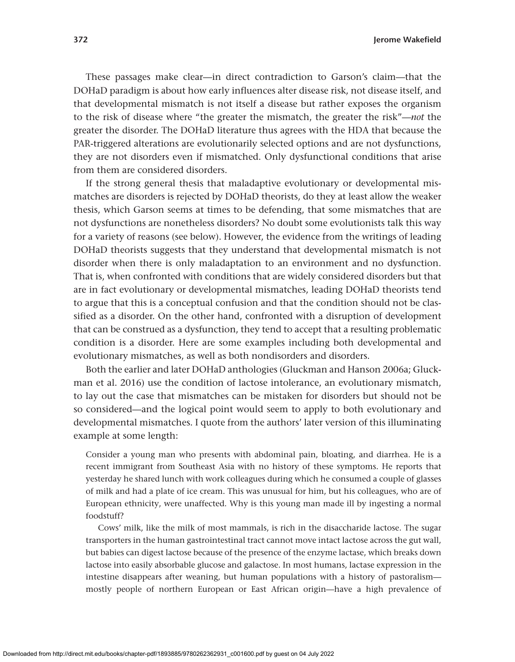These passages make clear—in direct contradiction to Garson's claim—that the DOHaD paradigm is about how early influences alter disease risk, not disease itself, and that developmental mismatch is not itself a disease but rather exposes the organism to the risk of disease where "the greater the mismatch, the greater the risk"—*not* the greater the disorder. The DOHaD literature thus agrees with the HDA that because the PAR-triggered alterations are evolutionarily selected options and are not dysfunctions, they are not disorders even if mismatched. Only dysfunctional conditions that arise from them are considered disorders.

If the strong general thesis that maladaptive evolutionary or developmental mismatches are disorders is rejected by DOHaD theorists, do they at least allow the weaker thesis, which Garson seems at times to be defending, that some mismatches that are not dysfunctions are nonetheless disorders? No doubt some evolutionists talk this way for a variety of reasons (see below). However, the evidence from the writings of leading DOHaD theorists suggests that they understand that developmental mismatch is not disorder when there is only maladaptation to an environment and no dysfunction. That is, when confronted with conditions that are widely considered disorders but that are in fact evolutionary or developmental mismatches, leading DOHaD theorists tend to argue that this is a conceptual confusion and that the condition should not be classified as a disorder. On the other hand, confronted with a disruption of development that can be construed as a dysfunction, they tend to accept that a resulting problematic condition is a disorder. Here are some examples including both developmental and evolutionary mismatches, as well as both nondisorders and disorders.

Both the earlier and later DOHaD anthologies (Gluckman and Hanson 2006a; Gluckman et al. 2016) use the condition of lactose intolerance, an evolutionary mismatch, to lay out the case that mismatches can be mistaken for disorders but should not be so considered—and the logical point would seem to apply to both evolutionary and developmental mismatches. I quote from the authors' later version of this illuminating example at some length:

Consider a young man who presents with abdominal pain, bloating, and diarrhea. He is a recent immigrant from Southeast Asia with no history of these symptoms. He reports that yesterday he shared lunch with work colleagues during which he consumed a couple of glasses of milk and had a plate of ice cream. This was unusual for him, but his colleagues, who are of European ethnicity, were unaffected. Why is this young man made ill by ingesting a normal foodstuff?

Cows' milk, like the milk of most mammals, is rich in the disaccharide lactose. The sugar transporters in the human gastrointestinal tract cannot move intact lactose across the gut wall, but babies can digest lactose because of the presence of the enzyme lactase, which breaks down lactose into easily absorbable glucose and galactose. In most humans, lactase expression in the intestine disappears after weaning, but human populations with a history of pastoralism mostly people of northern European or East African origin—have a high prevalence of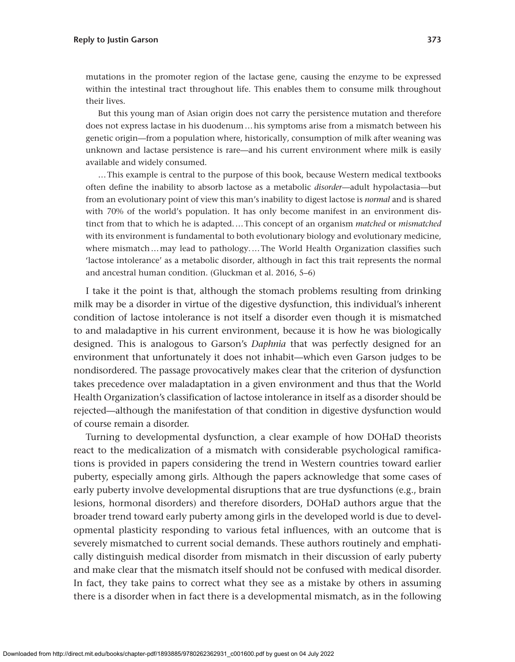#### **Reply to Justin Garson 373**

mutations in the promoter region of the lactase gene, causing the enzyme to be expressed within the intestinal tract throughout life. This enables them to consume milk throughout their lives.

But this young man of Asian origin does not carry the persistence mutation and therefore does not express lactase in his duodenum…his symptoms arise from a mismatch between his genetic origin—from a population where, historically, consumption of milk after weaning was unknown and lactase persistence is rare—and his current environment where milk is easily available and widely consumed.

…This example is central to the purpose of this book, because Western medical textbooks often define the inability to absorb lactose as a metabolic *disorder*—adult hypolactasia—but from an evolutionary point of view this man's inability to digest lactose is *normal* and is shared with 70% of the world's population. It has only become manifest in an environment distinct from that to which he is adapted.…This concept of an organism *matched* or *mismatched* with its environment is fundamental to both evolutionary biology and evolutionary medicine, where mismatch... may lead to pathology.... The World Health Organization classifies such 'lactose intolerance' as a metabolic disorder, although in fact this trait represents the normal and ancestral human condition. (Gluckman et al. 2016, 5–6)

I take it the point is that, although the stomach problems resulting from drinking milk may be a disorder in virtue of the digestive dysfunction, this individual's inherent condition of lactose intolerance is not itself a disorder even though it is mismatched to and maladaptive in his current environment, because it is how he was biologically designed. This is analogous to Garson's *Daphnia* that was perfectly designed for an environment that unfortunately it does not inhabit—which even Garson judges to be nondisordered. The passage provocatively makes clear that the criterion of dysfunction takes precedence over maladaptation in a given environment and thus that the World Health Organization's classification of lactose intolerance in itself as a disorder should be rejected—although the manifestation of that condition in digestive dysfunction would of course remain a disorder.

Turning to developmental dysfunction, a clear example of how DOHaD theorists react to the medicalization of a mismatch with considerable psychological ramifications is provided in papers considering the trend in Western countries toward earlier puberty, especially among girls. Although the papers acknowledge that some cases of early puberty involve developmental disruptions that are true dysfunctions (e.g., brain lesions, hormonal disorders) and therefore disorders, DOHaD authors argue that the broader trend toward early puberty among girls in the developed world is due to developmental plasticity responding to various fetal influences, with an outcome that is severely mismatched to current social demands. These authors routinely and emphatically distinguish medical disorder from mismatch in their discussion of early puberty and make clear that the mismatch itself should not be confused with medical disorder. In fact, they take pains to correct what they see as a mistake by others in assuming there is a disorder when in fact there is a developmental mismatch, as in the following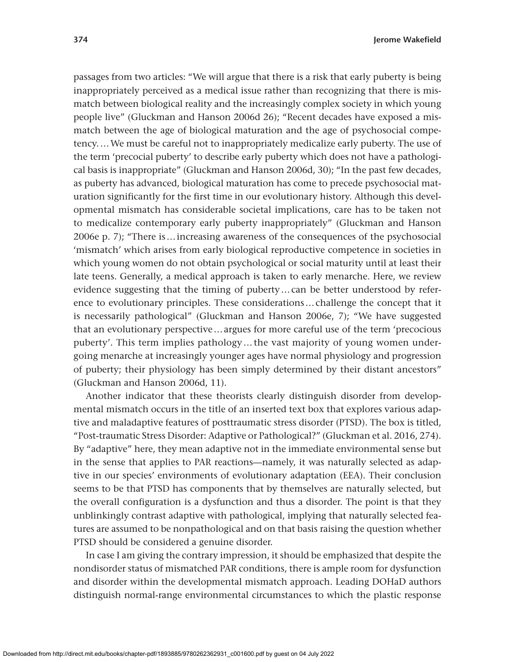passages from two articles: "We will argue that there is a risk that early puberty is being inappropriately perceived as a medical issue rather than recognizing that there is mismatch between biological reality and the increasingly complex society in which young people live" (Gluckman and Hanson 2006d 26); "Recent decades have exposed a mismatch between the age of biological maturation and the age of psychosocial competency.…We must be careful not to inappropriately medicalize early puberty. The use of the term 'precocial puberty' to describe early puberty which does not have a pathological basis is inappropriate" (Gluckman and Hanson 2006d, 30); "In the past few decades, as puberty has advanced, biological maturation has come to precede psychosocial maturation significantly for the first time in our evolutionary history. Although this developmental mismatch has considerable societal implications, care has to be taken not to medicalize contemporary early puberty inappropriately" (Gluckman and Hanson 2006e p. 7); "There is…increasing awareness of the consequences of the psychosocial 'mismatch' which arises from early biological reproductive competence in societies in which young women do not obtain psychological or social maturity until at least their late teens. Generally, a medical approach is taken to early menarche. Here, we review evidence suggesting that the timing of puberty…can be better understood by reference to evolutionary principles. These considerations…challenge the concept that it is necessarily pathological" (Gluckman and Hanson 2006e, 7); "We have suggested that an evolutionary perspective…argues for more careful use of the term 'precocious puberty'. This term implies pathology…the vast majority of young women undergoing menarche at increasingly younger ages have normal physiology and progression of puberty; their physiology has been simply determined by their distant ancestors" (Gluckman and Hanson 2006d, 11).

Another indicator that these theorists clearly distinguish disorder from developmental mismatch occurs in the title of an inserted text box that explores various adaptive and maladaptive features of posttraumatic stress disorder (PTSD). The box is titled, "Post-traumatic Stress Disorder: Adaptive or Pathological?" (Gluckman et al. 2016, 274). By "adaptive" here, they mean adaptive not in the immediate environmental sense but in the sense that applies to PAR reactions—namely, it was naturally selected as adaptive in our species' environments of evolutionary adaptation (EEA). Their conclusion seems to be that PTSD has components that by themselves are naturally selected, but the overall configuration is a dysfunction and thus a disorder. The point is that they unblinkingly contrast adaptive with pathological, implying that naturally selected features are assumed to be nonpathological and on that basis raising the question whether PTSD should be considered a genuine disorder.

In case I am giving the contrary impression, it should be emphasized that despite the nondisorder status of mismatched PAR conditions, there is ample room for dysfunction and disorder within the developmental mismatch approach. Leading DOHaD authors distinguish normal-range environmental circumstances to which the plastic response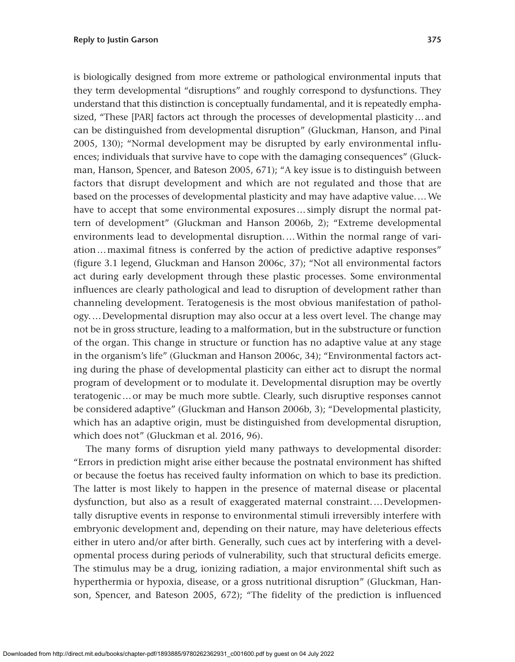is biologically designed from more extreme or pathological environmental inputs that they term developmental "disruptions" and roughly correspond to dysfunctions. They understand that this distinction is conceptually fundamental, and it is repeatedly emphasized, "These [PAR] factors act through the processes of developmental plasticity…and can be distinguished from developmental disruption" (Gluckman, Hanson, and Pinal 2005, 130); "Normal development may be disrupted by early environmental influences; individuals that survive have to cope with the damaging consequences" (Gluckman, Hanson, Spencer, and Bateson 2005, 671); "A key issue is to distinguish between factors that disrupt development and which are not regulated and those that are based on the processes of developmental plasticity and may have adaptive value.…We have to accept that some environmental exposures…simply disrupt the normal pattern of development" (Gluckman and Hanson 2006b, 2); "Extreme developmental environments lead to developmental disruption.…Within the normal range of variation…maximal fitness is conferred by the action of predictive adaptive responses" (figure 3.1 legend, Gluckman and Hanson 2006c, 37); "Not all environmental factors act during early development through these plastic processes. Some environmental influences are clearly pathological and lead to disruption of development rather than channeling development. Teratogenesis is the most obvious manifestation of pathology.…Developmental disruption may also occur at a less overt level. The change may not be in gross structure, leading to a malformation, but in the substructure or function of the organ. This change in structure or function has no adaptive value at any stage in the organism's life" (Gluckman and Hanson 2006c, 34); "Environmental factors acting during the phase of developmental plasticity can either act to disrupt the normal program of development or to modulate it. Developmental disruption may be overtly teratogenic…or may be much more subtle. Clearly, such disruptive responses cannot be considered adaptive" (Gluckman and Hanson 2006b, 3); "Developmental plasticity, which has an adaptive origin, must be distinguished from developmental disruption, which does not" (Gluckman et al. 2016, 96).

The many forms of disruption yield many pathways to developmental disorder: "Errors in prediction might arise either because the postnatal environment has shifted or because the foetus has received faulty information on which to base its prediction. The latter is most likely to happen in the presence of maternal disease or placental dysfunction, but also as a result of exaggerated maternal constraint.…Developmentally disruptive events in response to environmental stimuli irreversibly interfere with embryonic development and, depending on their nature, may have deleterious effects either in utero and/or after birth. Generally, such cues act by interfering with a developmental process during periods of vulnerability, such that structural deficits emerge. The stimulus may be a drug, ionizing radiation, a major environmental shift such as hyperthermia or hypoxia, disease, or a gross nutritional disruption" (Gluckman, Hanson, Spencer, and Bateson 2005, 672); "The fidelity of the prediction is influenced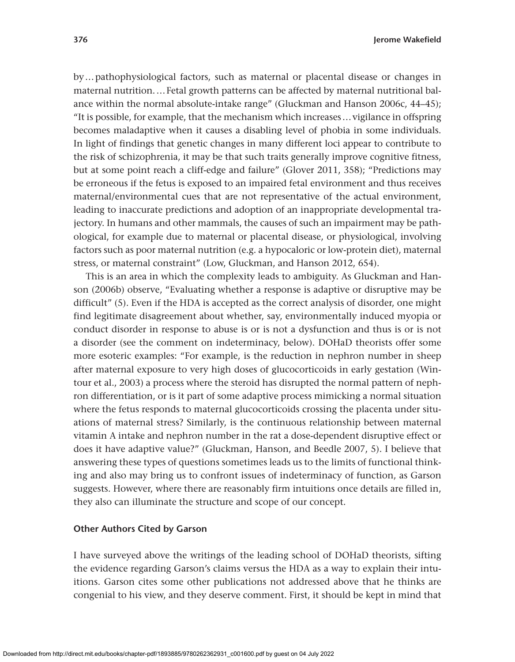by…pathophysiological factors, such as maternal or placental disease or changes in maternal nutrition.…Fetal growth patterns can be affected by maternal nutritional balance within the normal absolute-intake range" (Gluckman and Hanson 2006c, 44–45); "It is possible, for example, that the mechanism which increases…vigilance in offspring becomes maladaptive when it causes a disabling level of phobia in some individuals. In light of findings that genetic changes in many different loci appear to contribute to the risk of schizophrenia, it may be that such traits generally improve cognitive fitness, but at some point reach a cliff-edge and failure" (Glover 2011, 358); "Predictions may be erroneous if the fetus is exposed to an impaired fetal environment and thus receives maternal/environmental cues that are not representative of the actual environment, leading to inaccurate predictions and adoption of an inappropriate developmental trajectory. In humans and other mammals, the causes of such an impairment may be pathological, for example due to maternal or placental disease, or physiological, involving factors such as poor maternal nutrition (e.g. a hypocaloric or low-protein diet), maternal stress, or maternal constraint" (Low, Gluckman, and Hanson 2012, 654).

This is an area in which the complexity leads to ambiguity. As Gluckman and Hanson (2006b) observe, "Evaluating whether a response is adaptive or disruptive may be difficult" (5). Even if the HDA is accepted as the correct analysis of disorder, one might find legitimate disagreement about whether, say, environmentally induced myopia or conduct disorder in response to abuse is or is not a dysfunction and thus is or is not a disorder (see the comment on indeterminacy, below). DOHaD theorists offer some more esoteric examples: "For example, is the reduction in nephron number in sheep after maternal exposure to very high doses of glucocorticoids in early gestation (Wintour et al., 2003) a process where the steroid has disrupted the normal pattern of nephron differentiation, or is it part of some adaptive process mimicking a normal situation where the fetus responds to maternal glucocorticoids crossing the placenta under situations of maternal stress? Similarly, is the continuous relationship between maternal vitamin A intake and nephron number in the rat a dose-dependent disruptive effect or does it have adaptive value?" (Gluckman, Hanson, and Beedle 2007, 5). I believe that answering these types of questions sometimes leads us to the limits of functional thinking and also may bring us to confront issues of indeterminacy of function, as Garson suggests. However, where there are reasonably firm intuitions once details are filled in, they also can illuminate the structure and scope of our concept.

### **Other Authors Cited by Garson**

I have surveyed above the writings of the leading school of DOHaD theorists, sifting the evidence regarding Garson's claims versus the HDA as a way to explain their intuitions. Garson cites some other publications not addressed above that he thinks are congenial to his view, and they deserve comment. First, it should be kept in mind that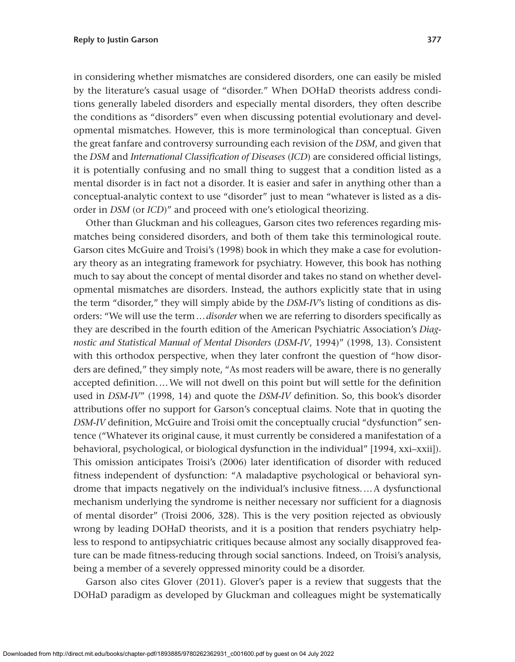in considering whether mismatches are considered disorders, one can easily be misled by the literature's casual usage of "disorder." When DOHaD theorists address conditions generally labeled disorders and especially mental disorders, they often describe the conditions as "disorders" even when discussing potential evolutionary and developmental mismatches. However, this is more terminological than conceptual. Given the great fanfare and controversy surrounding each revision of the *DSM*, and given that the *DSM* and *International Classification of Diseases* (*ICD*) are considered official listings, it is potentially confusing and no small thing to suggest that a condition listed as a mental disorder is in fact not a disorder. It is easier and safer in anything other than a conceptual-analytic context to use "disorder" just to mean "whatever is listed as a disorder in *DSM* (or *ICD*)" and proceed with one's etiological theorizing.

Other than Gluckman and his colleagues, Garson cites two references regarding mismatches being considered disorders, and both of them take this terminological route. Garson cites McGuire and Troisi's (1998) book in which they make a case for evolutionary theory as an integrating framework for psychiatry. However, this book has nothing much to say about the concept of mental disorder and takes no stand on whether developmental mismatches are disorders. Instead, the authors explicitly state that in using the term "disorder," they will simply abide by the *DSM-IV*'s listing of conditions as disorders: "We will use the term…*disorder* when we are referring to disorders specifically as they are described in the fourth edition of the American Psychiatric Association's *Diagnostic and Statistical Manual of Mental Disorders* (*DSM-IV*, 1994)" (1998, 13). Consistent with this orthodox perspective, when they later confront the question of "how disorders are defined," they simply note, "As most readers will be aware, there is no generally accepted definition.…We will not dwell on this point but will settle for the definition used in *DSM-IV*" (1998, 14) and quote the *DSM-IV* definition. So, this book's disorder attributions offer no support for Garson's conceptual claims. Note that in quoting the *DSM-IV* definition, McGuire and Troisi omit the conceptually crucial "dysfunction" sentence ("Whatever its original cause, it must currently be considered a manifestation of a behavioral, psychological, or biological dysfunction in the individual" [1994, xxi–xxii]). This omission anticipates Troisi's (2006) later identification of disorder with reduced fitness independent of dysfunction: "A maladaptive psychological or behavioral syndrome that impacts negatively on the individual's inclusive fitness.…A dysfunctional mechanism underlying the syndrome is neither necessary nor sufficient for a diagnosis of mental disorder" (Troisi 2006, 328). This is the very position rejected as obviously wrong by leading DOHaD theorists, and it is a position that renders psychiatry helpless to respond to antipsychiatric critiques because almost any socially disapproved feature can be made fitness-reducing through social sanctions. Indeed, on Troisi's analysis, being a member of a severely oppressed minority could be a disorder.

Garson also cites Glover (2011). Glover's paper is a review that suggests that the DOHaD paradigm as developed by Gluckman and colleagues might be systematically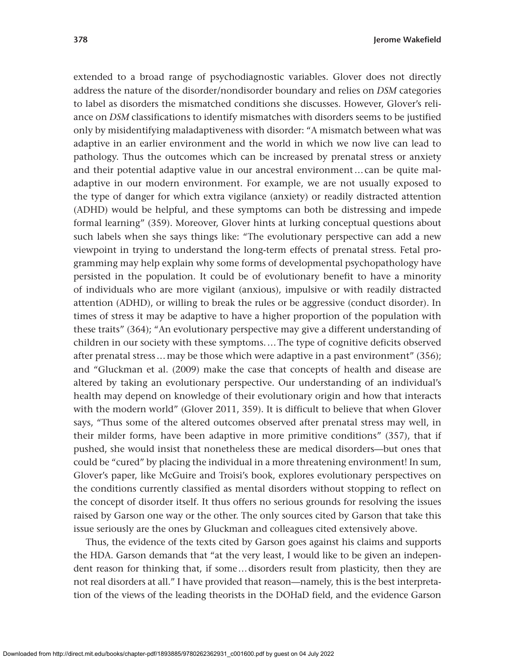extended to a broad range of psychodiagnostic variables. Glover does not directly address the nature of the disorder/nondisorder boundary and relies on *DSM* categories to label as disorders the mismatched conditions she discusses. However, Glover's reliance on *DSM* classifications to identify mismatches with disorders seems to be justified only by misidentifying maladaptiveness with disorder: "A mismatch between what was adaptive in an earlier environment and the world in which we now live can lead to pathology. Thus the outcomes which can be increased by prenatal stress or anxiety and their potential adaptive value in our ancestral environment…can be quite maladaptive in our modern environment. For example, we are not usually exposed to the type of danger for which extra vigilance (anxiety) or readily distracted attention (ADHD) would be helpful, and these symptoms can both be distressing and impede formal learning" (359). Moreover, Glover hints at lurking conceptual questions about such labels when she says things like: "The evolutionary perspective can add a new viewpoint in trying to understand the long-term effects of prenatal stress. Fetal programming may help explain why some forms of developmental psychopathology have persisted in the population. It could be of evolutionary benefit to have a minority of individuals who are more vigilant (anxious), impulsive or with readily distracted attention (ADHD), or willing to break the rules or be aggressive (conduct disorder). In times of stress it may be adaptive to have a higher proportion of the population with these traits" (364); "An evolutionary perspective may give a different understanding of children in our society with these symptoms.…The type of cognitive deficits observed after prenatal stress…may be those which were adaptive in a past environment" (356); and "Gluckman et al. (2009) make the case that concepts of health and disease are altered by taking an evolutionary perspective. Our understanding of an individual's health may depend on knowledge of their evolutionary origin and how that interacts with the modern world" (Glover 2011, 359). It is difficult to believe that when Glover says, "Thus some of the altered outcomes observed after prenatal stress may well, in their milder forms, have been adaptive in more primitive conditions" (357), that if pushed, she would insist that nonetheless these are medical disorders—but ones that could be "cured" by placing the individual in a more threatening environment! In sum, Glover's paper, like McGuire and Troisi's book, explores evolutionary perspectives on the conditions currently classified as mental disorders without stopping to reflect on the concept of disorder itself. It thus offers no serious grounds for resolving the issues raised by Garson one way or the other. The only sources cited by Garson that take this issue seriously are the ones by Gluckman and colleagues cited extensively above.

Thus, the evidence of the texts cited by Garson goes against his claims and supports the HDA. Garson demands that "at the very least, I would like to be given an independent reason for thinking that, if some…disorders result from plasticity, then they are not real disorders at all." I have provided that reason—namely, this is the best interpretation of the views of the leading theorists in the DOHaD field, and the evidence Garson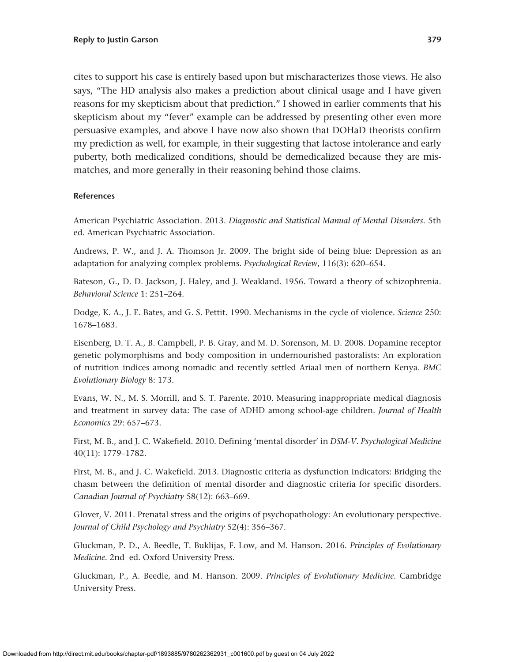cites to support his case is entirely based upon but mischaracterizes those views. He also says, "The HD analysis also makes a prediction about clinical usage and I have given reasons for my skepticism about that prediction." I showed in earlier comments that his skepticism about my "fever" example can be addressed by presenting other even more persuasive examples, and above I have now also shown that DOHaD theorists confirm my prediction as well, for example, in their suggesting that lactose intolerance and early puberty, both medicalized conditions, should be demedicalized because they are mismatches, and more generally in their reasoning behind those claims.

### **References**

American Psychiatric Association. 2013. *Diagnostic and Statistical Manual of Mental Disorders.* 5th ed. American Psychiatric Association.

Andrews, P. W., and J. A. Thomson Jr. 2009. The bright side of being blue: Depression as an adaptation for analyzing complex problems. *Psychological Review*, 116(3): 620–654.

Bateson, G., D. D. Jackson, J. Haley, and J. Weakland. 1956. Toward a theory of schizophrenia. *Behavioral Science* 1: 251–264.

Dodge, K. A., J. E. Bates, and G. S. Pettit. 1990. Mechanisms in the cycle of violence. *Science* 250: 1678–1683.

Eisenberg, D. T. A., B. Campbell, P. B. Gray, and M. D. Sorenson, M. D. 2008. Dopamine receptor genetic polymorphisms and body composition in undernourished pastoralists: An exploration of nutrition indices among nomadic and recently settled Ariaal men of northern Kenya. *BMC Evolutionary Biology* 8: 173.

Evans, W. N., M. S. Morrill, and S. T. Parente. 2010. Measuring inappropriate medical diagnosis and treatment in survey data: The case of ADHD among school-age children. *Journal of Health Economics* 29: 657–673.

First, M. B., and J. C. Wakefield. 2010. Defining 'mental disorder' in *DSM-V*. *Psychological Medicine* 40(11): 1779–1782.

First, M. B., and J. C. Wakefield. 2013. Diagnostic criteria as dysfunction indicators: Bridging the chasm between the definition of mental disorder and diagnostic criteria for specific disorders. *Canadian Journal of Psychiatry* 58(12): 663–669.

Glover, V. 2011. Prenatal stress and the origins of psychopathology: An evolutionary perspective. *Journal of Child Psychology and Psychiatry* 52(4): 356–367.

Gluckman, P. D., A. Beedle, T. Buklijas, F. Low, and M. Hanson. 2016. *Principles of Evolutionary Medicine.* 2nd ed. Oxford University Press.

Gluckman, P., A. Beedle, and M. Hanson. 2009. *Principles of Evolutionary Medicine*. Cambridge University Press.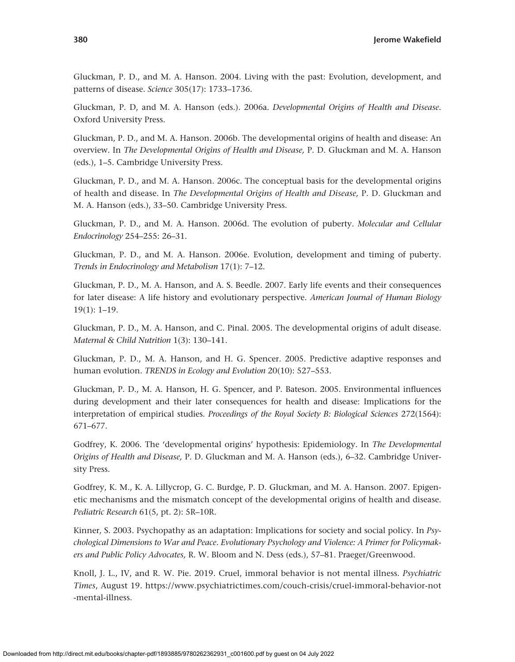Gluckman, P. D., and M. A. Hanson. 2004. Living with the past: Evolution, development, and patterns of disease. *Science* 305(17): 1733–1736.

Gluckman, P. D, and M. A. Hanson (eds.). 2006a. *Developmental Origins of Health and Disease.* Oxford University Press.

Gluckman, P. D., and M. A. Hanson. 2006b. The developmental origins of health and disease: An overview. In *The Developmental Origins of Health and Disease,* P. D. Gluckman and M. A. Hanson (eds.), 1–5. Cambridge University Press.

Gluckman, P. D., and M. A. Hanson. 2006c. The conceptual basis for the developmental origins of health and disease. In *The Developmental Origins of Health and Disease,* P. D. Gluckman and M. A. Hanson (eds.), 33–50. Cambridge University Press.

Gluckman, P. D., and M. A. Hanson. 2006d. The evolution of puberty. *Molecular and Cellular Endocrinology* 254–255: 26–31.

Gluckman, P. D., and M. A. Hanson. 2006e. Evolution, development and timing of puberty. *Trends in Endocrinology and Metabolism* 17(1): 7–12.

Gluckman, P. D., M. A. Hanson, and A. S. Beedle. 2007. Early life events and their consequences for later disease: A life history and evolutionary perspective. *American Journal of Human Biology* 19(1): 1–19.

Gluckman, P. D., M. A. Hanson, and C. Pinal. 2005. The developmental origins of adult disease. *Maternal & Child Nutrition* 1(3): 130–141.

Gluckman, P. D., M. A. Hanson, and H. G. Spencer. 2005. Predictive adaptive responses and human evolution. *TRENDS in Ecology and Evolution* 20(10): 527–553.

Gluckman, P. D., M. A. Hanson, H. G. Spencer, and P. Bateson. 2005. Environmental influences during development and their later consequences for health and disease: Implications for the interpretation of empirical studies. *Proceedings of the Royal Society B: Biological Sciences* 272(1564): 671–677.

Godfrey, K. 2006. The 'developmental origins' hypothesis: Epidemiology. In *The Developmental Origins of Health and Disease,* P. D. Gluckman and M. A. Hanson (eds.), 6–32. Cambridge University Press.

Godfrey, K. M., K. A. Lillycrop, G. C. Burdge, P. D. Gluckman, and M. A. Hanson. 2007. Epigenetic mechanisms and the mismatch concept of the developmental origins of health and disease. *Pediatric Research* 61(5, pt. 2): 5R–10R.

Kinner, S. 2003. Psychopathy as an adaptation: Implications for society and social policy. In *Psychological Dimensions to War and Peace. Evolutionary Psychology and Violence: A Primer for Policymakers and Public Policy Advocates,* R. W. Bloom and N. Dess (eds.), 57–81. Praeger/Greenwood.

Knoll, J. L., IV, and R. W. Pie. 2019. Cruel, immoral behavior is not mental illness. *Psychiatric Times*, August 19. [https://www.psychiatrictimes.com/couch-crisis/cruel-immoral-behavior-not](https://www.psychiatrictimes.com/couch-crisis/cruel-immoral-behavior-not-mental-illness) [-mental-illness](https://www.psychiatrictimes.com/couch-crisis/cruel-immoral-behavior-not-mental-illness).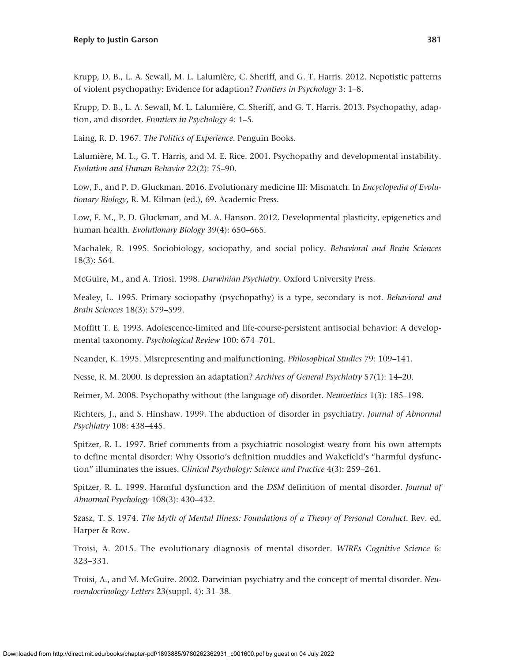Krupp, D. B., L. A. Sewall, M. L. Lalumière, C. Sheriff, and G. T. Harris. 2012. Nepotistic patterns of violent psychopathy: Evidence for adaption? *Frontiers in Psychology* 3: 1–8.

Krupp, D. B., L. A. Sewall, M. L. Lalumière, C. Sheriff, and G. T. Harris. 2013. Psychopathy, adaption, and disorder. *Frontiers in Psychology* 4: 1–5.

Laing, R. D. 1967. *The Politics of Experience*. Penguin Books.

Lalumière, M. L., G. T. Harris, and M. E. Rice. 2001. Psychopathy and developmental instability. *Evolution and Human Behavior* 22(2): 75–90.

Low, F., and P. D. Gluckman. 2016. Evolutionary medicine III: Mismatch. In *Encyclopedia of Evolutionary Biology,* R. M. Kilman (ed.), 69. Academic Press.

Low, F. M., P. D. Gluckman, and M. A. Hanson. 2012. Developmental plasticity, epigenetics and human health. *Evolutionary Biology* 39(4): 650–665.

Machalek, R. 1995. Sociobiology, sociopathy, and social policy. *Behavioral and Brain Sciences* 18(3): 564.

McGuire, M., and A. Triosi. 1998. *Darwinian Psychiatry*. Oxford University Press.

Mealey, L. 1995. Primary sociopathy (psychopathy) is a type, secondary is not. *Behavioral and Brain Sciences* 18(3): 579–599.

Moffitt T. E. 1993. Adolescence-limited and life-course-persistent antisocial behavior: A developmental taxonomy. *Psychological Review* 100: 674–701.

Neander, K. 1995. Misrepresenting and malfunctioning. *Philosophical Studies* 79: 109–141.

Nesse, R. M. 2000. Is depression an adaptation? *Archives of General Psychiatry* 57(1): 14–20.

Reimer, M. 2008. Psychopathy without (the language of) disorder. *Neuroethics* 1(3): 185–198.

Richters, J., and S. Hinshaw. 1999. The abduction of disorder in psychiatry. *Journal of Abnormal Psychiatry* 108: 438–445.

Spitzer, R. L. 1997. Brief comments from a psychiatric nosologist weary from his own attempts to define mental disorder: Why Ossorio's definition muddles and Wakefield's "harmful dysfunction" illuminates the issues. *Clinical Psychology: Science and Practice* 4(3): 259–261.

Spitzer, R. L. 1999. Harmful dysfunction and the *DSM* definition of mental disorder. *Journal of Abnormal Psychology* 108(3): 430–432.

Szasz, T. S. 1974. *The Myth of Mental Illness: Foundations of a Theory of Personal Conduct.* Rev. ed. Harper & Row.

Troisi, A. 2015. The evolutionary diagnosis of mental disorder. *WIREs Cognitive Science* 6: 323–331.

Troisi, A., and M. McGuire. 2002. Darwinian psychiatry and the concept of mental disorder. *Neuroendocrinology Letters* 23(suppl. 4): 31–38.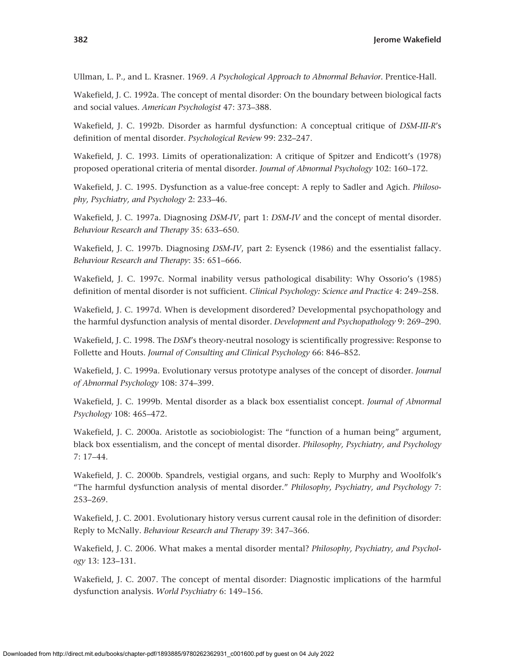Ullman, L. P., and L. Krasner. 1969. *A Psychological Approach to Abnormal Behavior*. Prentice-Hall.

Wakefield, J. C. 1992a. The concept of mental disorder: On the boundary between biological facts and social values. *American Psychologist* 47: 373–388.

Wakefield, J. C. 1992b. Disorder as harmful dysfunction: A conceptual critique of *DSM-III-R*'s definition of mental disorder. *Psychological Review* 99: 232–247.

Wakefield, J. C. 1993. Limits of operationalization: A critique of Spitzer and Endicott's (1978) proposed operational criteria of mental disorder. *Journal of Abnormal Psychology* 102: 160–172.

Wakefield, J. C. 1995. Dysfunction as a value-free concept: A reply to Sadler and Agich. *Philosophy, Psychiatry, and Psychology* 2: 233–46.

Wakefield, J. C. 1997a. Diagnosing *DSM-IV*, part 1: *DSM-IV* and the concept of mental disorder. *Behaviour Research and Therapy* 35: 633–650.

Wakefield, J. C. 1997b. Diagnosing *DSM-IV*, part 2: Eysenck (1986) and the essentialist fallacy. *Behaviour Research and Therapy*: 35: 651–666.

Wakefield, J. C. 1997c. Normal inability versus pathological disability: Why Ossorio's (1985) definition of mental disorder is not sufficient. *Clinical Psychology: Science and Practice* 4: 249–258.

Wakefield, J. C. 1997d. When is development disordered? Developmental psychopathology and the harmful dysfunction analysis of mental disorder. *Development and Psychopathology* 9: 269–290.

Wakefield, J. C. 1998. The *DSM*'s theory-neutral nosology is scientifically progressive: Response to Follette and Houts. *Journal of Consulting and Clinical Psychology* 66: 846–852.

Wakefield, J. C. 1999a. Evolutionary versus prototype analyses of the concept of disorder. *Journal of Abnormal Psychology* 108: 374–399.

Wakefield, J. C. 1999b. Mental disorder as a black box essentialist concept. *Journal of Abnormal Psychology* 108: 465–472.

Wakefield, J. C. 2000a. Aristotle as sociobiologist: The "function of a human being" argument, black box essentialism, and the concept of mental disorder. *Philosophy, Psychiatry, and Psychology* 7: 17–44.

Wakefield, J. C. 2000b. Spandrels, vestigial organs, and such: Reply to Murphy and Woolfolk's "The harmful dysfunction analysis of mental disorder." *Philosophy, Psychiatry, and Psychology* 7: 253–269.

Wakefield, J. C. 2001. Evolutionary history versus current causal role in the definition of disorder: Reply to McNally. *Behaviour Research and Therapy* 39: 347–366.

Wakefield, J. C. 2006. What makes a mental disorder mental? *Philosophy, Psychiatry, and Psychology* 13: 123–131.

Wakefield, J. C. 2007. The concept of mental disorder: Diagnostic implications of the harmful dysfunction analysis. *World Psychiatry* 6: 149–156.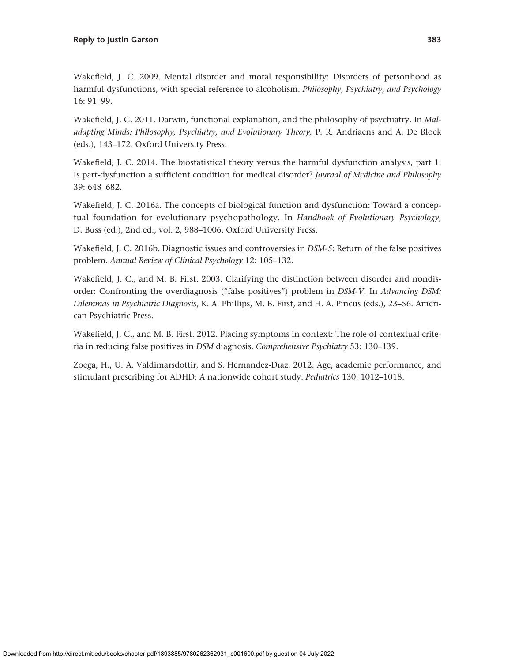Wakefield, J. C. 2009. Mental disorder and moral responsibility: Disorders of personhood as harmful dysfunctions, with special reference to alcoholism. *Philosophy, Psychiatry, and Psychology* 16: 91–99.

Wakefield, J. C. 2011. Darwin, functional explanation, and the philosophy of psychiatry. In *Maladapting Minds: Philosophy, Psychiatry, and Evolutionary Theory,* P. R. Andriaens and A. De Block (eds.), 143–172. Oxford University Press.

Wakefield, J. C. 2014. The biostatistical theory versus the harmful dysfunction analysis, part 1: Is part-dysfunction a sufficient condition for medical disorder? *Journal of Medicine and Philosophy* 39: 648–682.

Wakefield, J. C. 2016a. The concepts of biological function and dysfunction: Toward a conceptual foundation for evolutionary psychopathology. In *Handbook of Evolutionary Psychology,* D. Buss (ed.), 2nd ed., vol. 2, 988–1006. Oxford University Press.

Wakefield, J. C. 2016b. Diagnostic issues and controversies in *DSM-5*: Return of the false positives problem. *Annual Review of Clinical Psychology* 12: 105–132.

Wakefield, J. C., and M. B. First. 2003. Clarifying the distinction between disorder and nondisorder: Confronting the overdiagnosis ("false positives") problem in *DSM-V*. In *Advancing DSM: Dilemmas in Psychiatric Diagnosis*, K. A. Phillips, M. B. First, and H. A. Pincus (eds.), 23–56. American Psychiatric Press.

Wakefield, J. C., and M. B. First. 2012. Placing symptoms in context: The role of contextual criteria in reducing false positives in *DSM* diagnosis. *Comprehensive Psychiatry* 53: 130–139.

Zoega, H., U. A. Valdimarsdottir, and S. Hernandez-Dıaz. 2012. Age, academic performance, and stimulant prescribing for ADHD: A nationwide cohort study. *Pediatrics* 130: 1012–1018.